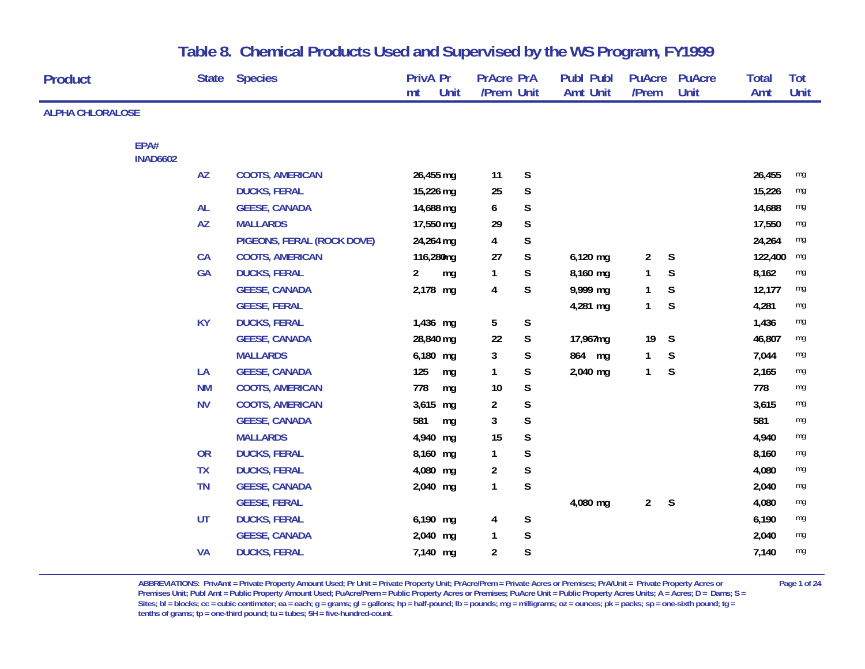| Product                 |                 | <b>State</b> | <b>Species</b>             | <b>PrivA Pr</b><br>Unit<br>mt | <b>PrAcre PrA</b><br>/Prem Unit |             | <b>Publ Publ</b><br><b>Amt Unit</b> | <b>PuAcre</b><br>/Prem | <b>PuAcre</b><br>Unit | <b>Total</b><br>Amt | Tot<br>Unit |
|-------------------------|-----------------|--------------|----------------------------|-------------------------------|---------------------------------|-------------|-------------------------------------|------------------------|-----------------------|---------------------|-------------|
| <b>ALPHA CHLORALOSE</b> |                 |              |                            |                               |                                 |             |                                     |                        |                       |                     |             |
|                         | EPA#            |              |                            |                               |                                 |             |                                     |                        |                       |                     |             |
|                         | <b>INAD6602</b> |              |                            |                               |                                 |             |                                     |                        |                       |                     |             |
|                         |                 | <b>AZ</b>    | <b>COOTS, AMERICAN</b>     | 26,455 mg                     | 11                              | S           |                                     |                        |                       | 26,455              | mg          |
|                         |                 |              | <b>DUCKS, FERAL</b>        | 15,226 mg                     | 25                              | $\mathsf S$ |                                     |                        |                       | 15,226              | mg          |
|                         |                 | AL           | <b>GEESE, CANADA</b>       | 14,688 mg                     | 6                               | $\mathsf S$ |                                     |                        |                       | 14,688              | mg          |
|                         |                 | <b>AZ</b>    | <b>MALLARDS</b>            | 17,550 mg                     | 29                              | $\mathsf S$ |                                     |                        |                       | 17,550              | mg          |
|                         |                 |              | PIGEONS, FERAL (ROCK DOVE) | 24,264 mg                     | 4                               | $\mathsf S$ |                                     |                        |                       | 24,264              | mg          |
|                         |                 | CA           | <b>COOTS, AMERICAN</b>     | 116,280mg                     | 27                              | $\mathsf S$ | $6,120$ mg                          | $\overline{a}$         | S                     | 122,400             | mg          |
|                         |                 | GA           | <b>DUCKS, FERAL</b>        | $\overline{2}$<br>mg          | 1                               | $\mathsf S$ | 8,160 mg                            | $\mathbf{1}$           | S                     | 8,162               | mg          |
|                         |                 |              | <b>GEESE, CANADA</b>       | 2,178 mg                      | 4                               | $\mathsf S$ | 9,999 mg                            | 1                      | S                     | 12,177              | mg          |
|                         |                 |              | <b>GEESE, FERAL</b>        |                               |                                 |             | 4,281 mg                            | $\mathbf{1}$           | S                     | 4,281               | mg          |
|                         |                 | <b>KY</b>    | <b>DUCKS, FERAL</b>        | 1,436 mg                      | 5                               | $\mathsf S$ |                                     |                        |                       | 1,436               | mg          |
|                         |                 |              | <b>GEESE, CANADA</b>       | 28,840 mg                     | 22                              | $\mathsf S$ | 17,967mg                            | 19                     | S                     | 46,807              | mg          |
|                         |                 |              | <b>MALLARDS</b>            | 6,180 mg                      | 3                               | $\mathsf S$ | 864 mg                              | $\mathbf{1}$           | S                     | 7,044               | mg          |
|                         |                 | LA           | <b>GEESE, CANADA</b>       | 125<br>mg                     | 1                               | $\mathsf S$ | 2,040 mg                            | $\mathbf{1}$           | S                     | 2,165               | mg          |
|                         |                 | <b>NM</b>    | <b>COOTS, AMERICAN</b>     | 778<br>mg                     | 10                              | S           |                                     |                        |                       | 778                 | mg          |
|                         |                 | <b>NV</b>    | <b>COOTS, AMERICAN</b>     | 3,615 mg                      | $\overline{a}$                  | $\mathsf S$ |                                     |                        |                       | 3,615               | mg          |
|                         |                 |              | <b>GEESE, CANADA</b>       | 581<br>mg                     | 3                               | $\mathsf S$ |                                     |                        |                       | 581                 | mg          |
|                         |                 |              | <b>MALLARDS</b>            | 4,940 mg                      | 15                              | $\mathsf S$ |                                     |                        |                       | 4,940               | mg          |
|                         |                 | <b>OR</b>    | <b>DUCKS, FERAL</b>        | 8,160 mg                      | $\mathbf{1}$                    | $\mathsf S$ |                                     |                        |                       | 8,160               | mg          |
|                         |                 | <b>TX</b>    | <b>DUCKS, FERAL</b>        | 4,080 mg                      | $\overline{a}$                  | $\mathsf S$ |                                     |                        |                       | 4,080               | mg          |
|                         |                 | <b>TN</b>    | <b>GEESE, CANADA</b>       | 2,040 mg                      | 1                               | $\mathsf S$ |                                     |                        |                       | 2,040               | mg          |
|                         |                 |              | <b>GEESE, FERAL</b>        |                               |                                 |             | 4,080 mg                            | $2^{\circ}$            | S                     | 4,080               | mg          |
|                         |                 | <b>UT</b>    | <b>DUCKS, FERAL</b>        | 6,190 mg                      | 4                               | $\mathsf S$ |                                     |                        |                       | 6,190               | mg          |
|                         |                 |              | <b>GEESE, CANADA</b>       | 2,040 mg                      | 1                               | $\mathsf S$ |                                     |                        |                       | 2,040               | mg          |
|                         |                 | <b>VA</b>    | <b>DUCKS, FERAL</b>        | 7,140 mg                      | $\overline{2}$                  | $\mathsf S$ |                                     |                        |                       | 7,140               | mg          |

**ABBREVIATIONS: PrivAmt = Private Property Amount Used; Pr Unit = Private Property Unit; PrAcre/Prem = Private Acres or Premises; PrA/Unit = Private Property Acres or Page 1 of 24 Premises Unit; Publ Amt = Public Property Amount Used; PuAcre/Prem = Public Property Acres or Premises; PuAcre Unit = Public Property Acres Units; A = Acres; D = Dams; S =**  Sites; bl = blocks; cc = cubic centimeter; ea = each; g = grams; gl = gallons; hp = half-pound; lb = pounds; mg = milligrams; oz = ounces; pk = packs; sp = one-sixth pound; tg = **tenths of grams; tp = one-third pound; tu = tubes; 5H = five-hundred-count.**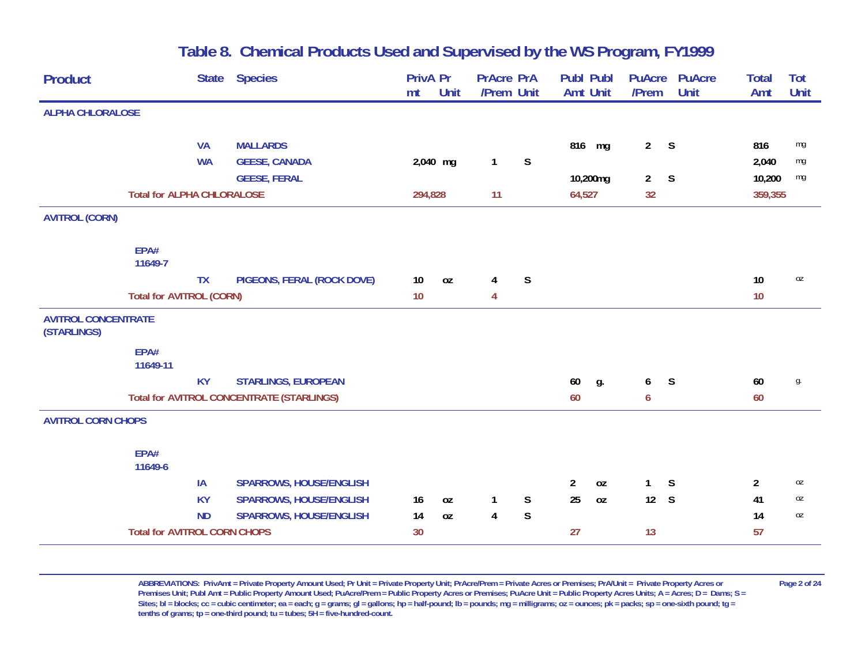| <b>Product</b>                            | <b>State</b>                        | <b>Species</b>                                   | PrivA Pr<br>mt | Unit | <b>PrAcre PrA</b><br>/Prem Unit |              | <b>Publ Publ</b><br><b>Amt Unit</b> | <b>PuAcre</b><br>/Prem | <b>PuAcre</b><br><b>Unit</b> | <b>Total</b><br>Amt | <b>Tot</b><br>Unit |
|-------------------------------------------|-------------------------------------|--------------------------------------------------|----------------|------|---------------------------------|--------------|-------------------------------------|------------------------|------------------------------|---------------------|--------------------|
|                                           |                                     |                                                  |                |      |                                 |              |                                     |                        |                              |                     |                    |
| <b>ALPHA CHLORALOSE</b>                   |                                     |                                                  |                |      |                                 |              |                                     |                        |                              |                     |                    |
|                                           | <b>VA</b>                           | <b>MALLARDS</b>                                  |                |      |                                 |              | 816 mg                              | 2 <sup>7</sup>         | S                            | 816                 | mg                 |
|                                           | <b>WA</b>                           | <b>GEESE, CANADA</b>                             | 2,040 mg       |      | $\mathbf{1}$                    | $\mathsf S$  |                                     |                        |                              | 2,040               | mg                 |
|                                           |                                     | <b>GEESE, FERAL</b>                              |                |      |                                 |              | 10,200mg                            | $\overline{2}$         | S                            | 10,200              | mg                 |
|                                           | <b>Total for ALPHA CHLORALOSE</b>   |                                                  | 294,828        |      | 11                              |              | 64,527                              | 32                     |                              | 359,355             |                    |
| <b>AVITROL (CORN)</b>                     |                                     |                                                  |                |      |                                 |              |                                     |                        |                              |                     |                    |
|                                           | EPA#<br>11649-7                     |                                                  |                |      |                                 |              |                                     |                        |                              |                     |                    |
|                                           | <b>TX</b>                           | PIGEONS, FERAL (ROCK DOVE)                       | 10             | 0Z   | 4                               | $\mathsf{S}$ |                                     |                        |                              | 10                  | 0Z                 |
|                                           | <b>Total for AVITROL (CORN)</b>     |                                                  | 10             |      | 4                               |              |                                     |                        |                              | 10                  |                    |
| <b>AVITROL CONCENTRATE</b><br>(STARLINGS) |                                     |                                                  |                |      |                                 |              |                                     |                        |                              |                     |                    |
|                                           | EPA#<br>11649-11                    |                                                  |                |      |                                 |              |                                     |                        |                              |                     |                    |
|                                           | <b>KY</b>                           | <b>STARLINGS, EUROPEAN</b>                       |                |      |                                 |              | 60<br>g.                            | 6                      | S                            | 60                  | g.                 |
|                                           |                                     | <b>Total for AVITROL CONCENTRATE (STARLINGS)</b> |                |      |                                 |              | 60                                  | 6                      |                              | 60                  |                    |
| <b>AVITROL CORN CHOPS</b>                 |                                     |                                                  |                |      |                                 |              |                                     |                        |                              |                     |                    |
|                                           | EPA#<br>11649-6                     |                                                  |                |      |                                 |              |                                     |                        |                              |                     |                    |
|                                           | IA                                  | <b>SPARROWS, HOUSE/ENGLISH</b>                   |                |      |                                 |              | $\overline{a}$<br>0Z                | $\mathbf{1}$           | S                            | $\overline{2}$      | 0Z                 |
|                                           | <b>KY</b>                           | <b>SPARROWS, HOUSE/ENGLISH</b>                   | 16             | 0Z   | 1                               | S            | 25<br><b>OZ</b>                     | 12 S                   |                              | 41                  | 0Z                 |
|                                           | <b>ND</b>                           | <b>SPARROWS, HOUSE/ENGLISH</b>                   | 14             | 0Z   | 4                               | $\mathsf S$  |                                     |                        |                              | 14                  | 0Z                 |
|                                           | <b>Total for AVITROL CORN CHOPS</b> |                                                  | 30             |      |                                 |              | 27                                  | 13                     |                              | 57                  |                    |

ABBREVIATIONS: PrivAmt = Private Property Amount Used; Pr Unit = Private Property Unit; PrAcre/Prem = Private Acres or Premises; PrA/Unit = Private Property Acres or Page 2 of 24 Premises Unit; Publ Amt = Public Property Amount Used; PuAcre/Prem = Public Property Acres or Premises; PuAcre Unit = Public Property Acres Units; A = Acres; D = Dams; S = Sites; bl = blocks; cc = cubic centimeter; ea = each; g = grams; gl = gallons; hp = half-pound; lb = pounds; mg = milligrams; oz = ounces; pk = packs; sp = one-sixth pound; tg = **tenths of grams; tp = one-third pound; tu = tubes; 5H = five-hundred-count.**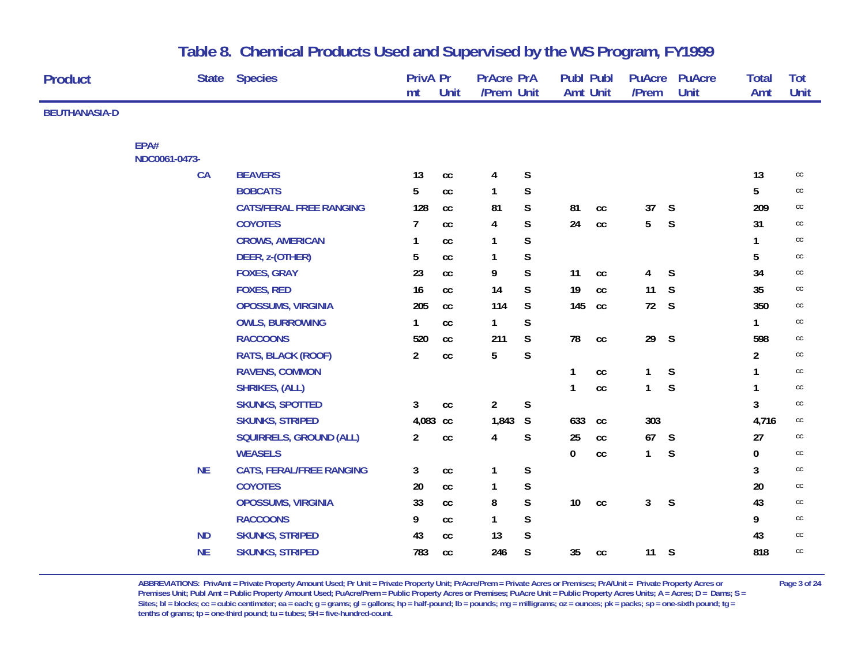| <b>Product</b>       |               | <b>State</b> | <b>Species</b>                  | <b>PrivA Pr</b><br>mt | Unit              | <b>PrAcre PrA</b><br>/Prem Unit |             | <b>Publ Publ</b><br>Amt Unit |               | <b>PuAcre</b><br>/Prem | <b>PuAcre</b><br>Unit | <b>Total</b><br>Amt | <b>Tot</b><br>Unit |
|----------------------|---------------|--------------|---------------------------------|-----------------------|-------------------|---------------------------------|-------------|------------------------------|---------------|------------------------|-----------------------|---------------------|--------------------|
| <b>BEUTHANASIA-D</b> |               |              |                                 |                       |                   |                                 |             |                              |               |                        |                       |                     |                    |
|                      | EPA#          |              |                                 |                       |                   |                                 |             |                              |               |                        |                       |                     |                    |
|                      | NDC0061-0473- |              |                                 |                       |                   |                                 |             |                              |               |                        |                       |                     |                    |
|                      | CA            |              | <b>BEAVERS</b>                  | 13                    | $\mathop{\rm CC}$ | 4                               | $\mathsf S$ |                              |               |                        |                       | 13                  | $\mathsf{CC}$      |
|                      |               |              | <b>BOBCATS</b>                  | 5                     | $_{\rm CC}$       | 1                               | $\mathsf S$ |                              |               |                        |                       | 5                   | cc                 |
|                      |               |              | <b>CATS/FERAL FREE RANGING</b>  | 128                   | cc                | 81                              | S           | 81                           | $\mathsf{CC}$ | 37                     | S                     | 209                 | cc                 |
|                      |               |              | <b>COYOTES</b>                  | 7                     | cc                | 4                               | $\mathsf S$ | 24                           | cc            | 5                      | S                     | 31                  | cc                 |
|                      |               |              | <b>CROWS, AMERICAN</b>          | 1                     | cc                | 1                               | S           |                              |               |                        |                       | $\mathbf{1}$        | cc                 |
|                      |               |              | DEER, z-(OTHER)                 | 5                     | cc                | 1                               | $\mathsf S$ |                              |               |                        |                       | 5                   | cc                 |
|                      |               |              | <b>FOXES, GRAY</b>              | 23                    | cc                | 9                               | S           | 11                           | $_{\rm CC}$   | 4                      | S                     | 34                  | cc                 |
|                      |               |              | <b>FOXES, RED</b>               | 16                    | cc                | 14                              | S           | 19                           | cc            | 11                     | S                     | 35                  | cc                 |
|                      |               |              | OPOSSUMS, VIRGINIA              | 205                   | cc                | 114                             | S           | 145                          | cc            | 72                     | S                     | 350                 | cc                 |
|                      |               |              | <b>OWLS, BURROWING</b>          | 1                     | cc                | 1                               | $\mathsf S$ |                              |               |                        |                       | $\mathbf{1}$        | cc                 |
|                      |               |              | <b>RACCOONS</b>                 | 520                   | cc                | 211                             | S           | 78                           | cc            | 29                     | S                     | 598                 | cc                 |
|                      |               |              | RATS, BLACK (ROOF)              | $\overline{2}$        | cc                | 5                               | S           |                              |               |                        |                       | $\overline{a}$      | cc                 |
|                      |               |              | <b>RAVENS, COMMON</b>           |                       |                   |                                 |             |                              | cc            | $\mathbf{1}$           | S                     | 1                   | cc                 |
|                      |               |              | <b>SHRIKES, (ALL)</b>           |                       |                   |                                 |             |                              | cc            | $\mathbf{1}$           | S                     | 1                   | cc                 |
|                      |               |              | <b>SKUNKS, SPOTTED</b>          | 3                     | cc                | $\overline{a}$                  | $\mathsf S$ |                              |               |                        |                       | $\mathbf{3}$        | cc                 |
|                      |               |              | <b>SKUNKS, STRIPED</b>          | 4,083 cc              |                   | 1,843                           | S           | 633                          | cc            | 303                    |                       | 4,716               | cc                 |
|                      |               |              | <b>SQUIRRELS, GROUND (ALL)</b>  | $\overline{a}$        | cc                | 4                               | S           | 25                           | cc            | 67                     | S                     | 27                  | cc                 |
|                      |               |              | <b>WEASELS</b>                  |                       |                   |                                 |             | 0                            | cc            | $\mathbf{1}$           | S                     | $\pmb{0}$           | cc                 |
|                      | <b>NE</b>     |              | <b>CATS, FERAL/FREE RANGING</b> | 3                     | cc                | 1                               | $\mathsf S$ |                              |               |                        |                       | 3                   | cc                 |
|                      |               |              | <b>COYOTES</b>                  | 20                    | cc                | 1                               | $\mathsf S$ |                              |               |                        |                       | 20                  | cc                 |
|                      |               |              | <b>OPOSSUMS, VIRGINIA</b>       | 33                    | cc                | 8                               | $\mathsf S$ | 10 <sup>°</sup>              | cc            | 3                      | S                     | 43                  | cc                 |
|                      |               |              | <b>RACCOONS</b>                 | 9                     | cc                | 1                               | $\mathsf S$ |                              |               |                        |                       | 9                   | $\mathsf{CC}$      |
|                      | <b>ND</b>     |              | <b>SKUNKS, STRIPED</b>          | 43                    | cc                | 13                              | S           |                              |               |                        |                       | 43                  | cc                 |
|                      | <b>NE</b>     |              | <b>SKUNKS, STRIPED</b>          | 783                   | cc                | 246                             | S           | 35                           | cc            | 11                     | S                     | 818                 | cc                 |
|                      |               |              |                                 |                       |                   |                                 |             |                              |               |                        |                       |                     |                    |

**ABBREVIATIONS: PrivAmt = Private Property Amount Used; Pr Unit = Private Property Unit; PrAcre/Prem = Private Acres or Premises; PrA/Unit = Private Property Acres or Page 3 of 24 Premises Unit; Publ Amt = Public Property Amount Used; PuAcre/Prem = Public Property Acres or Premises; PuAcre Unit = Public Property Acres Units; A = Acres; D = Dams; S =**  Sites; bl = blocks; cc = cubic centimeter; ea = each; g = grams; gl = gallons; hp = half-pound; lb = pounds; mg = milligrams; oz = ounces; pk = packs; sp = one-sixth pound; tg = **tenths of grams; tp = one-third pound; tu = tubes; 5H = five-hundred-count.**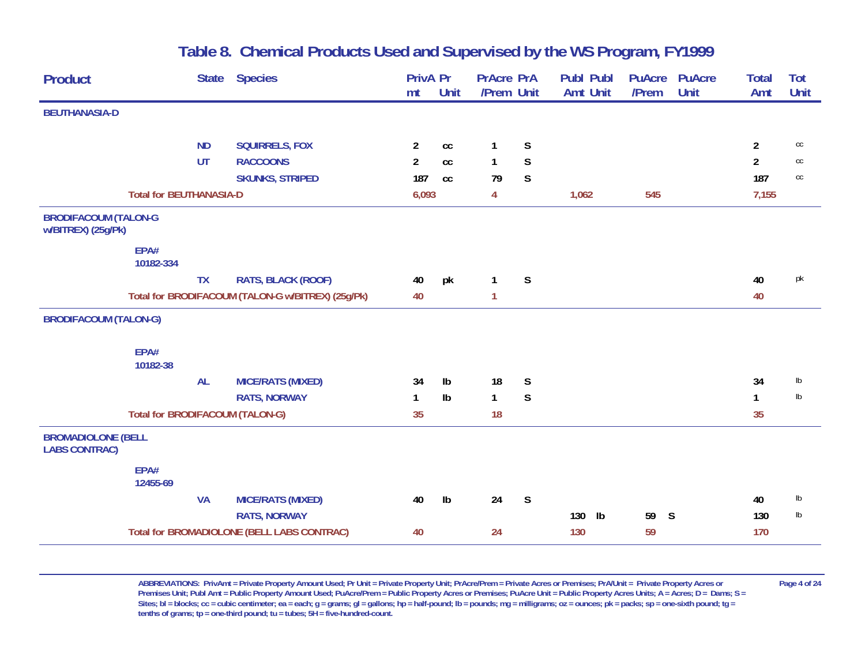|                              | <b>Species</b>           |                                                                                                                                                                                                    |               |                                  |              | <b>Publ Publ</b>                | <b>PuAcre</b> | <b>PuAcre</b> | <b>Total</b>     | <b>Tot</b>    |
|------------------------------|--------------------------|----------------------------------------------------------------------------------------------------------------------------------------------------------------------------------------------------|---------------|----------------------------------|--------------|---------------------------------|---------------|---------------|------------------|---------------|
|                              |                          |                                                                                                                                                                                                    |               |                                  |              |                                 |               |               |                  | <b>Unit</b>   |
|                              |                          |                                                                                                                                                                                                    |               |                                  |              |                                 |               |               |                  |               |
| <b>ND</b>                    | <b>SQUIRRELS, FOX</b>    | $\overline{a}$                                                                                                                                                                                     | cc            | $\mathbf{1}$                     | $\mathsf S$  |                                 |               |               | $\overline{2}$   | $\mathsf{CC}$ |
| <b>UT</b>                    | <b>RACCOONS</b>          | $\overline{2}$                                                                                                                                                                                     | cc            | $\mathbf{1}$                     | S            |                                 |               |               | $\overline{2}$   | $\mathsf{CC}$ |
|                              | <b>SKUNKS, STRIPED</b>   | 187                                                                                                                                                                                                | cc            | 79                               | S.           |                                 |               |               | 187              | $\mathsf{CC}$ |
|                              |                          |                                                                                                                                                                                                    |               | $\overline{4}$                   |              | 1,062                           | 545           |               | 7,155            |               |
| <b>BRODIFACOUM (TALON-G</b>  |                          |                                                                                                                                                                                                    |               |                                  |              |                                 |               |               |                  |               |
| EPA#<br>10182-334            |                          |                                                                                                                                                                                                    |               |                                  |              |                                 |               |               |                  |               |
| <b>TX</b>                    | RATS, BLACK (ROOF)       | 40                                                                                                                                                                                                 | pk            | $\mathbf{1}$                     | S            |                                 |               |               | 40               | pk            |
|                              |                          | 40                                                                                                                                                                                                 |               | $\mathbf{1}$                     |              |                                 |               |               | 40               |               |
| <b>BRODIFACOUM (TALON-G)</b> |                          |                                                                                                                                                                                                    |               |                                  |              |                                 |               |               |                  |               |
| EPA#<br>10182-38             |                          |                                                                                                                                                                                                    |               |                                  |              |                                 |               |               |                  |               |
| <b>AL</b>                    | <b>MICE/RATS (MIXED)</b> | 34                                                                                                                                                                                                 | Ib            | 18                               | S            |                                 |               |               | 34               | $\mathsf{lb}$ |
|                              | <b>RATS, NORWAY</b>      | 1                                                                                                                                                                                                  | $\mathsf{lb}$ | $\mathbf{1}$                     | $\mathsf{S}$ |                                 |               |               | $\mathbf{1}$     | $\mathsf{lb}$ |
|                              |                          | 35                                                                                                                                                                                                 |               | 18                               |              |                                 |               |               | 35               |               |
| <b>BROMADIOLONE (BELL</b>    |                          |                                                                                                                                                                                                    |               |                                  |              |                                 |               |               |                  |               |
| EPA#<br>12455-69             |                          |                                                                                                                                                                                                    |               |                                  |              |                                 |               |               |                  |               |
| <b>VA</b>                    | <b>MICE/RATS (MIXED)</b> | 40                                                                                                                                                                                                 | Ib            | 24                               | S            |                                 |               |               | 40               | $\mathsf{lb}$ |
|                              | <b>RATS, NORWAY</b>      |                                                                                                                                                                                                    |               |                                  |              | 130<br>$\mathsf{lb}$            | 59            |               | 130              | $\mathsf{lb}$ |
|                              |                          | 40                                                                                                                                                                                                 |               | 24                               |              | 130                             | 59            |               | 170              |               |
|                              |                          | <b>State</b><br><b>Total for BEUTHANASIA-D</b><br>Total for BRODIFACOUM (TALON-G w/BITREX) (25g/Pk)<br><b>Total for BRODIFACOUM (TALON-G)</b><br><b>Total for BROMADIOLONE (BELL LABS CONTRAC)</b> | mt            | <b>PrivA Pr</b><br>Unit<br>6,093 |              | <b>PrAcre PrA</b><br>/Prem Unit | Amt Unit      | /Prem         | <b>Unit</b><br>S | Amt           |

ABBREVIATIONS: PrivAmt = Private Property Amount Used; Pr Unit = Private Property Unit; PrAcre/Prem = Private Acres or Premises; PrA/Unit = Private Property Acres or Page 4 of 24 Premises Unit; Publ Amt = Public Property Amount Used; PuAcre/Prem = Public Property Acres or Premises; PuAcre Unit = Public Property Acres Units; A = Acres; D = Dams; S = Sites; bl = blocks; cc = cubic centimeter; ea = each; g = grams; gl = gallons; hp = half-pound; lb = pounds; mg = milligrams; oz = ounces; pk = packs; sp = one-sixth pound; tg = **tenths of grams; tp = one-third pound; tu = tubes; 5H = five-hundred-count.**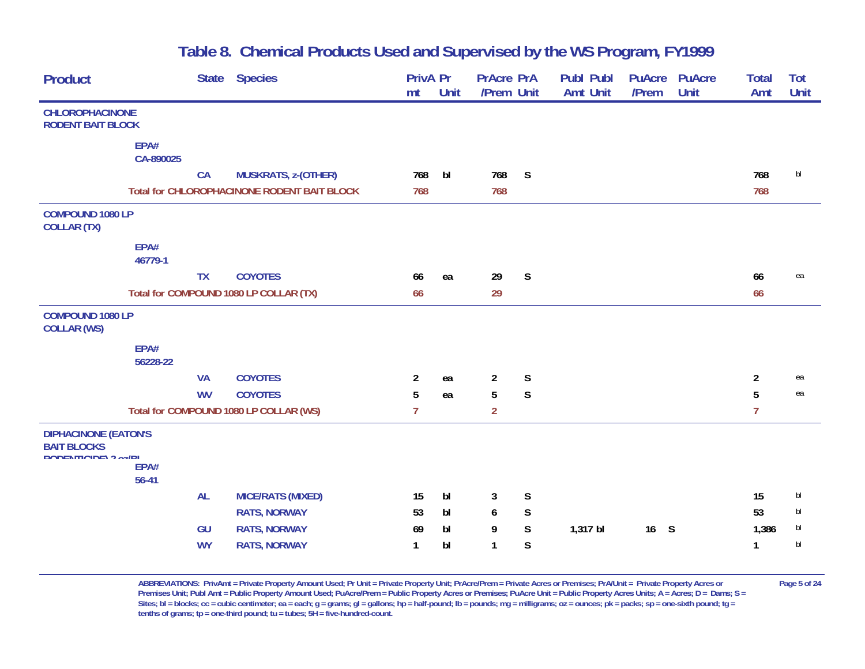| <b>Product</b>                                                                   |                   | <b>State</b> | <b>Species</b>                                     | <b>PrivA Pr</b><br>mt | Unit           | <b>PrAcre PrA</b><br>/Prem Unit |              | <b>Publ Publ</b><br><b>Amt Unit</b> | <b>PuAcre</b><br>/Prem | <b>PuAcre</b><br><b>Unit</b> | <b>Total</b><br>Amt | Tot<br>Unit |
|----------------------------------------------------------------------------------|-------------------|--------------|----------------------------------------------------|-----------------------|----------------|---------------------------------|--------------|-------------------------------------|------------------------|------------------------------|---------------------|-------------|
| <b>CHLOROPHACINONE</b><br><b>RODENT BAIT BLOCK</b>                               |                   |              |                                                    |                       |                |                                 |              |                                     |                        |                              |                     |             |
|                                                                                  | EPA#<br>CA-890025 |              |                                                    |                       |                |                                 |              |                                     |                        |                              |                     |             |
|                                                                                  |                   | <b>CA</b>    | <b>MUSKRATS, z-(OTHER)</b>                         | 768                   | bl             | 768                             | S            |                                     |                        |                              | 768                 | bl          |
|                                                                                  |                   |              | <b>Total for CHLOROPHACINONE RODENT BAIT BLOCK</b> | 768                   |                | 768                             |              |                                     |                        |                              | 768                 |             |
| COMPOUND 1080 LP<br><b>COLLAR (TX)</b>                                           |                   |              |                                                    |                       |                |                                 |              |                                     |                        |                              |                     |             |
|                                                                                  | EPA#<br>46779-1   |              |                                                    |                       |                |                                 |              |                                     |                        |                              |                     |             |
|                                                                                  |                   | <b>TX</b>    | <b>COYOTES</b>                                     | 66                    | ea             | 29                              | S            |                                     |                        |                              | 66                  | ea          |
|                                                                                  |                   |              | Total for COMPOUND 1080 LP COLLAR (TX)             | 66                    |                | 29                              |              |                                     |                        |                              | 66                  |             |
| <b>COMPOUND 1080 LP</b><br><b>COLLAR (WS)</b>                                    |                   |              |                                                    |                       |                |                                 |              |                                     |                        |                              |                     |             |
|                                                                                  | EPA#<br>56228-22  |              |                                                    |                       |                |                                 |              |                                     |                        |                              |                     |             |
|                                                                                  |                   | <b>VA</b>    | <b>COYOTES</b>                                     | $\overline{2}$        | ea             | $\overline{2}$                  | $\mathsf S$  |                                     |                        |                              | $\overline{2}$      | ea          |
|                                                                                  |                   | <b>WV</b>    | <b>COYOTES</b>                                     | 5                     | ea             | 5                               | $\mathsf{S}$ |                                     |                        |                              | 5                   | ea          |
|                                                                                  |                   |              | Total for COMPOUND 1080 LP COLLAR (WS)             | $\overline{7}$        |                | $\overline{2}$                  |              |                                     |                        |                              | $\overline{7}$      |             |
| <b>DIPHACINONE (EATON'S</b><br><b>BAIT BLOCKS</b><br><b>DODENTICIDE) 2 oz/RI</b> | EPA#<br>$56 - 41$ |              |                                                    |                       |                |                                 |              |                                     |                        |                              |                     |             |
|                                                                                  |                   | <b>AL</b>    | <b>MICE/RATS (MIXED)</b>                           | 15                    | bI             | 3                               | S            |                                     |                        |                              | 15                  | bl          |
|                                                                                  |                   |              | <b>RATS, NORWAY</b>                                | 53                    | bl             | 6                               | S            |                                     |                        |                              | 53                  | bl          |
|                                                                                  |                   | GU           | <b>RATS, NORWAY</b>                                | 69                    | bl             | 9                               | $\mathsf S$  | 1,317 bl                            | 16S                    |                              | 1,386               | bl          |
|                                                                                  |                   | <b>WY</b>    | <b>RATS, NORWAY</b>                                | 1                     | b <sub>l</sub> | $\mathbf{1}$                    | $\mathsf S$  |                                     |                        |                              | $\mathbf{1}$        | b           |
|                                                                                  |                   |              |                                                    |                       |                |                                 |              |                                     |                        |                              |                     |             |

ABBREVIATIONS: PrivAmt = Private Property Amount Used; Pr Unit = Private Property Unit; PrAcre/Prem = Private Acres or Premises; PrA/Unit = Private Property Acres or Page 5 of 24 Premises Unit; Publ Amt = Public Property Amount Used; PuAcre/Prem = Public Property Acres or Premises; PuAcre Unit = Public Property Acres Units; A = Acres; D = Dams; S = Sites; bl = blocks; cc = cubic centimeter; ea = each; g = grams; gl = gallons; hp = half-pound; lb = pounds; mg = milligrams; oz = ounces; pk = packs; sp = one-sixth pound; tg = **tenths of grams; tp = one-third pound; tu = tubes; 5H = five-hundred-count.**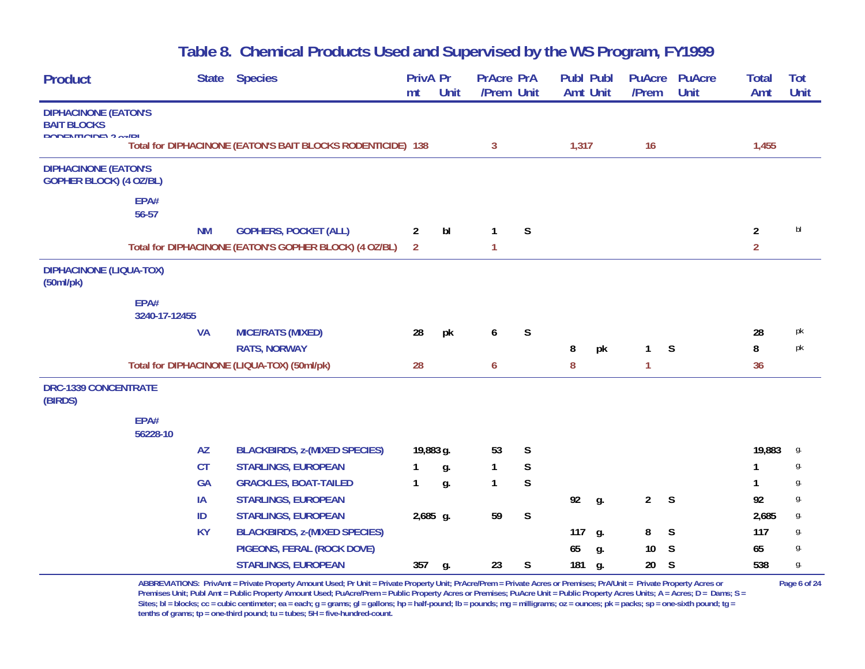| <b>Product</b>                                                |                       | <b>State</b> | <b>Species</b>                                              | <b>PrivA Pr</b><br>mt | <b>Unit</b> | <b>PrAcre PrA</b><br>/Prem Unit |             | <b>Publ Publ</b><br><b>Amt Unit</b> |    | <b>PuAcre</b><br>/Prem | <b>PuAcre</b><br>Unit | <b>Total</b><br>Amt | Tot<br><b>Unit</b> |
|---------------------------------------------------------------|-----------------------|--------------|-------------------------------------------------------------|-----------------------|-------------|---------------------------------|-------------|-------------------------------------|----|------------------------|-----------------------|---------------------|--------------------|
| <b>DIPHACINONE (EATON'S</b>                                   |                       |              |                                                             |                       |             |                                 |             |                                     |    |                        |                       |                     |                    |
| <b>BAIT BLOCKS</b><br>DODENTICIDE) 2 oz/RI                    |                       |              |                                                             |                       |             |                                 |             |                                     |    |                        |                       |                     |                    |
|                                                               |                       |              | Total for DIPHACINONE (EATON'S BAIT BLOCKS RODENTICIDE) 138 |                       |             | $\mathbf{3}$                    |             | 1,317                               |    | 16                     |                       | 1,455               |                    |
| <b>DIPHACINONE (EATON'S</b><br><b>GOPHER BLOCK) (4 OZ/BL)</b> |                       |              |                                                             |                       |             |                                 |             |                                     |    |                        |                       |                     |                    |
|                                                               | EPA#<br>56-57         |              |                                                             |                       |             |                                 |             |                                     |    |                        |                       |                     |                    |
|                                                               |                       | <b>NM</b>    | <b>GOPHERS, POCKET (ALL)</b>                                | $\overline{2}$        | bl          | $\mathbf{1}$                    | S           |                                     |    |                        |                       | $\overline{2}$      | bl                 |
|                                                               |                       |              | Total for DIPHACINONE (EATON'S GOPHER BLOCK) (4 OZ/BL)      | $\overline{2}$        |             | $\mathbf{1}$                    |             |                                     |    |                        |                       | $\overline{2}$      |                    |
| <b>DIPHACINONE (LIQUA-TOX)</b><br>(50ml/pk)                   |                       |              |                                                             |                       |             |                                 |             |                                     |    |                        |                       |                     |                    |
|                                                               | EPA#<br>3240-17-12455 |              |                                                             |                       |             |                                 |             |                                     |    |                        |                       |                     |                    |
|                                                               |                       | <b>VA</b>    | <b>MICE/RATS (MIXED)</b>                                    | 28                    | pk          | 6                               | S           |                                     |    |                        |                       | 28                  | pk                 |
|                                                               |                       |              | <b>RATS, NORWAY</b>                                         |                       |             |                                 |             | 8                                   | pk | $\mathbf{1}$           | S                     | 8                   | pk                 |
|                                                               |                       |              | Total for DIPHACINONE (LIQUA-TOX) (50ml/pk)                 | 28                    |             | 6                               |             | 8                                   |    | 1                      |                       | 36                  |                    |
| <b>DRC-1339 CONCENTRATE</b><br>(BIRDS)                        |                       |              |                                                             |                       |             |                                 |             |                                     |    |                        |                       |                     |                    |
|                                                               | EPA#<br>56228-10      |              |                                                             |                       |             |                                 |             |                                     |    |                        |                       |                     |                    |
|                                                               |                       | <b>AZ</b>    | <b>BLACKBIRDS, z-(MIXED SPECIES)</b>                        | 19,883 g.             |             | 53                              | $\mathsf S$ |                                     |    |                        |                       | 19,883              | g.                 |
|                                                               |                       | <b>CT</b>    | <b>STARLINGS, EUROPEAN</b>                                  | 1                     | g.          | $\mathbf{1}$                    | $\mathsf S$ |                                     |    |                        |                       | 1                   | g.                 |
|                                                               |                       | <b>GA</b>    | <b>GRACKLES, BOAT-TAILED</b>                                | 1                     | g.          | $\mathbf{1}$                    | $\mathsf S$ |                                     |    |                        |                       | 1                   | g.                 |
|                                                               |                       | IA           | <b>STARLINGS, EUROPEAN</b>                                  |                       |             |                                 |             | 92                                  | g. | $\overline{2}$         | $\mathsf{S}$          | 92                  | g.                 |
|                                                               |                       | ID           | <b>STARLINGS, EUROPEAN</b>                                  | 2,685 g.              |             | 59                              | $\mathsf S$ |                                     |    |                        |                       | 2,685               | g.                 |
|                                                               |                       | <b>KY</b>    | <b>BLACKBIRDS, z-(MIXED SPECIES)</b>                        |                       |             |                                 |             | 117                                 | g. | 8                      | $\mathsf{S}$          | 117                 | g.                 |
|                                                               |                       |              | PIGEONS, FERAL (ROCK DOVE)                                  |                       |             |                                 |             | 65                                  | g. | 10                     | S                     | 65                  | g.                 |
|                                                               |                       |              | <b>STARLINGS, EUROPEAN</b>                                  | 357                   | g.          | 23                              | S           | 181                                 | g. | 20                     | S                     | 538                 | g.                 |

**ABBREVIATIONS: PrivAmt = Private Property Amount Used; Pr Unit = Private Property Unit; PrAcre/Prem = Private Acres or Premises; PrA/Unit = Private Property Acres or Page 6 of 24 Premises Unit; Publ Amt = Public Property Amount Used; PuAcre/Prem = Public Property Acres or Premises; PuAcre Unit = Public Property Acres Units; A = Acres; D = Dams; S = Sites; bl = blocks; cc = cubic centimeter; ea = each; g = grams; gl = gallons; hp = half-pound; lb = pounds; mg = milligrams; oz = ounces; pk = packs; sp = one-sixth pound; tg = tenths of grams; tp = one-third pound; tu = tubes; 5H = five-hundred-count.**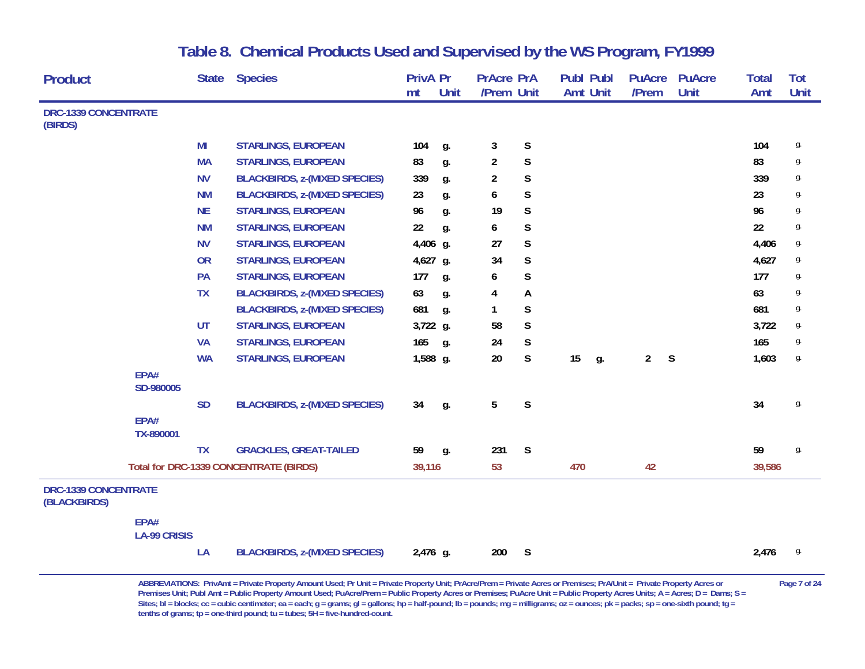| <b>Product</b>                              |                             | <b>State</b> | <b>Species</b>                         | <b>PrivA Pr</b> |       | <b>PrAcre PrA</b> |              | <b>Publ Publ</b> |       | <b>PuAcre</b>  | <b>PuAcre</b> | <b>Total</b> | Tot  |
|---------------------------------------------|-----------------------------|--------------|----------------------------------------|-----------------|-------|-------------------|--------------|------------------|-------|----------------|---------------|--------------|------|
|                                             |                             |              |                                        | mt              | Unit  | /Prem Unit        |              | <b>Amt Unit</b>  | /Prem |                | <b>Unit</b>   | Amt          | Unit |
| <b>DRC-1339 CONCENTRATE</b><br>(BIRDS)      |                             |              |                                        |                 |       |                   |              |                  |       |                |               |              |      |
|                                             |                             | MI           | <b>STARLINGS, EUROPEAN</b>             | 104             | g.    | 3                 | $\mathsf S$  |                  |       |                |               | 104          | g.   |
|                                             |                             | <b>MA</b>    | <b>STARLINGS, EUROPEAN</b>             | 83              | g.    | $\overline{a}$    | $\mathsf S$  |                  |       |                |               | 83           | g.   |
|                                             |                             | <b>NV</b>    | <b>BLACKBIRDS, z-(MIXED SPECIES)</b>   | 339             | g.    | $\overline{2}$    | $\mathsf S$  |                  |       |                |               | 339          | g.   |
|                                             |                             | <b>NM</b>    | <b>BLACKBIRDS, z-(MIXED SPECIES)</b>   | 23              | g.    | 6                 | $\mathsf S$  |                  |       |                |               | 23           | g.   |
|                                             |                             | <b>NE</b>    | <b>STARLINGS, EUROPEAN</b>             | 96              | g.    | 19                | $\mathsf S$  |                  |       |                |               | 96           | g.   |
|                                             |                             | <b>NM</b>    | <b>STARLINGS, EUROPEAN</b>             | 22              | g.    | 6                 | $\mathsf S$  |                  |       |                |               | 22           | g.   |
|                                             |                             | <b>NV</b>    | <b>STARLINGS, EUROPEAN</b>             | 4,406 g.        |       | 27                | $\mathsf{S}$ |                  |       |                |               | 4,406        | g.   |
|                                             |                             | <b>OR</b>    | <b>STARLINGS, EUROPEAN</b>             | 4,627 g.        |       | 34                | $\mathsf S$  |                  |       |                |               | 4,627        | g.   |
|                                             |                             | PA           | <b>STARLINGS, EUROPEAN</b>             | 177             | g.    | 6                 | S            |                  |       |                |               | 177          | g.   |
|                                             |                             | <b>TX</b>    | <b>BLACKBIRDS, z-(MIXED SPECIES)</b>   | 63              | g.    | 4                 | A            |                  |       |                |               | 63           | g.   |
|                                             |                             |              | <b>BLACKBIRDS, z-(MIXED SPECIES)</b>   | 681             | g.    | 1                 | S            |                  |       |                |               | 681          | g.   |
|                                             |                             | <b>UT</b>    | <b>STARLINGS, EUROPEAN</b>             | 3,722 g.        |       | 58                | $\mathsf S$  |                  |       |                |               | 3,722        | g.   |
|                                             |                             | <b>VA</b>    | <b>STARLINGS, EUROPEAN</b>             | 165             | $q$ . | 24                | S            |                  |       |                |               | 165          | g.   |
|                                             |                             | <b>WA</b>    | <b>STARLINGS, EUROPEAN</b>             | 1,588 g.        |       | 20                | $\mathsf S$  | 15<br>g.         |       | $\overline{2}$ | S             | 1,603        | g.   |
|                                             | EPA#<br>SD-980005           |              |                                        |                 |       |                   |              |                  |       |                |               |              |      |
|                                             |                             | <b>SD</b>    | <b>BLACKBIRDS, z-(MIXED SPECIES)</b>   | 34              | g.    | 5                 | $\mathsf S$  |                  |       |                |               | 34           | g.   |
|                                             | EPA#<br>TX-890001           |              |                                        |                 |       |                   |              |                  |       |                |               |              |      |
|                                             |                             | <b>TX</b>    | <b>GRACKLES, GREAT-TAILED</b>          | 59              | g.    | 231               | S            |                  |       |                |               | 59           | g.   |
|                                             |                             |              | Total for DRC-1339 CONCENTRATE (BIRDS) | 39,116          |       | 53                |              | 470              |       | 42             |               | 39,586       |      |
| <b>DRC-1339 CONCENTRATE</b><br>(BLACKBIRDS) |                             |              |                                        |                 |       |                   |              |                  |       |                |               |              |      |
|                                             | EPA#<br><b>LA-99 CRISIS</b> |              |                                        |                 |       |                   |              |                  |       |                |               |              |      |
|                                             |                             | LA           | <b>BLACKBIRDS, z-(MIXED SPECIES)</b>   | 2,476 g.        |       | 200               | S            |                  |       |                |               | 2,476        | g.   |

ABBREVIATIONS: PrivAmt = Private Property Amount Used; Pr Unit = Private Property Unit; PrAcre/Prem = Private Acres or Premises; PrA/Unit = Private Property Acres or Page 7 of 24 Premises Unit; Publ Amt = Public Property Amount Used; PuAcre/Prem = Public Property Acres or Premises; PuAcre Unit = Public Property Acres Units; A = Acres; D = Dams; S = Sites; bl = blocks; cc = cubic centimeter; ea = each; g = grams; gl = gallons; hp = half-pound; lb = pounds; mg = milligrams; oz = ounces; pk = packs; sp = one-sixth pound; tg = **tenths of grams; tp = one-third pound; tu = tubes; 5H = five-hundred-count.**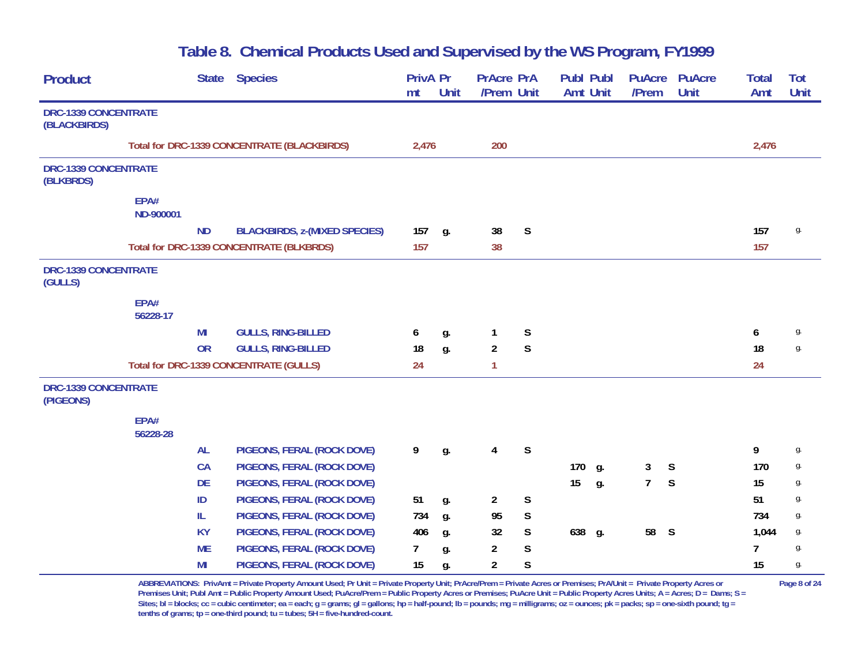| <b>Product</b>                           |                   | <b>State</b> | <b>Species</b>                                | PrivA Pr<br>mt | <b>Unit</b> | <b>PrAcre PrA</b><br>/Prem Unit |              | Publ Publ<br><b>Amt Unit</b> |            | <b>PuAcre</b><br>/Prem | <b>PuAcre</b><br>Unit | <b>Total</b><br>Amt | Tot<br>Unit |
|------------------------------------------|-------------------|--------------|-----------------------------------------------|----------------|-------------|---------------------------------|--------------|------------------------------|------------|------------------------|-----------------------|---------------------|-------------|
| DRC-1339 CONCENTRATE<br>(BLACKBIRDS)     |                   |              |                                               |                |             |                                 |              |                              |            |                        |                       |                     |             |
|                                          |                   |              | Total for DRC-1339 CONCENTRATE (BLACKBIRDS)   | 2,476          |             | 200                             |              |                              |            |                        |                       | 2,476               |             |
| <b>DRC-1339 CONCENTRATE</b><br>(BLKBRDS) |                   |              |                                               |                |             |                                 |              |                              |            |                        |                       |                     |             |
|                                          | EPA#<br>ND-900001 |              |                                               |                |             |                                 |              |                              |            |                        |                       |                     |             |
|                                          |                   | <b>ND</b>    | <b>BLACKBIRDS, z-(MIXED SPECIES)</b>          | 157            | g.          | 38                              | $\mathsf{S}$ |                              |            |                        |                       | 157                 | g.          |
|                                          |                   |              | Total for DRC-1339 CONCENTRATE (BLKBRDS)      | 157            |             | 38                              |              |                              |            |                        |                       | 157                 |             |
| DRC-1339 CONCENTRATE<br>(GULLS)          |                   |              |                                               |                |             |                                 |              |                              |            |                        |                       |                     |             |
|                                          | EPA#<br>56228-17  |              |                                               |                |             |                                 |              |                              |            |                        |                       |                     |             |
|                                          |                   | MI           | <b>GULLS, RING-BILLED</b>                     | 6              | g.          | 1                               | S            |                              |            |                        |                       | 6                   | g.          |
|                                          |                   | <b>OR</b>    | <b>GULLS, RING-BILLED</b>                     | 18             | g.          | $\overline{2}$                  | $\mathsf S$  |                              |            |                        |                       | 18                  | g.          |
|                                          |                   |              | <b>Total for DRC-1339 CONCENTRATE (GULLS)</b> | 24             |             | $\mathbf{1}$                    |              |                              |            |                        |                       | 24                  |             |
| DRC-1339 CONCENTRATE<br>(PIGEONS)        |                   |              |                                               |                |             |                                 |              |                              |            |                        |                       |                     |             |
|                                          | EPA#<br>56228-28  |              |                                               |                |             |                                 |              |                              |            |                        |                       |                     |             |
|                                          |                   | <b>AL</b>    | PIGEONS, FERAL (ROCK DOVE)                    | 9              | g.          | $\overline{4}$                  | S            |                              |            |                        |                       | 9                   | g.          |
|                                          |                   | CA           | PIGEONS, FERAL (ROCK DOVE)                    |                |             |                                 |              | 170                          | g.         | 3                      | S                     | 170                 | g.          |
|                                          |                   | <b>DE</b>    | PIGEONS, FERAL (ROCK DOVE)                    |                |             |                                 |              | 15                           | g.         | $\overline{7}$         | S                     | 15                  | g.          |
|                                          |                   | ID           | PIGEONS, FERAL (ROCK DOVE)                    | 51             | g.          | $\overline{2}$                  | $\mathsf S$  |                              |            |                        |                       | 51                  | g.          |
|                                          |                   | IL.          | PIGEONS, FERAL (ROCK DOVE)                    | 734            | g.          | 95                              | $\mathsf S$  |                              |            |                        |                       | 734                 | g.          |
|                                          |                   | <b>KY</b>    | PIGEONS, FERAL (ROCK DOVE)                    | 406            | g.          | 32                              | S            | 638                          | <b>g</b> . | 58 S                   |                       | 1,044               | g.          |
|                                          |                   | <b>ME</b>    | PIGEONS, FERAL (ROCK DOVE)                    | $\overline{7}$ | g.          | 2                               | $\mathsf S$  |                              |            |                        |                       | $\overline{7}$      | g.          |
|                                          |                   | MI           | PIGEONS, FERAL (ROCK DOVE)                    | 15             | g.          | $\overline{2}$                  | S            |                              |            |                        |                       | 15                  | g.          |

**ABBREVIATIONS: PrivAmt = Private Property Amount Used; Pr Unit = Private Property Unit; PrAcre/Prem = Private Acres or Premises; PrA/Unit = Private Property Acres or Page 8 of 24 Premises Unit; Publ Amt = Public Property Amount Used; PuAcre/Prem = Public Property Acres or Premises; PuAcre Unit = Public Property Acres Units; A = Acres; D = Dams; S = Sites; bl = blocks; cc = cubic centimeter; ea = each; g = grams; gl = gallons; hp = half-pound; lb = pounds; mg = milligrams; oz = ounces; pk = packs; sp = one-sixth pound; tg = tenths of grams; tp = one-third pound; tu = tubes; 5H = five-hundred-count.**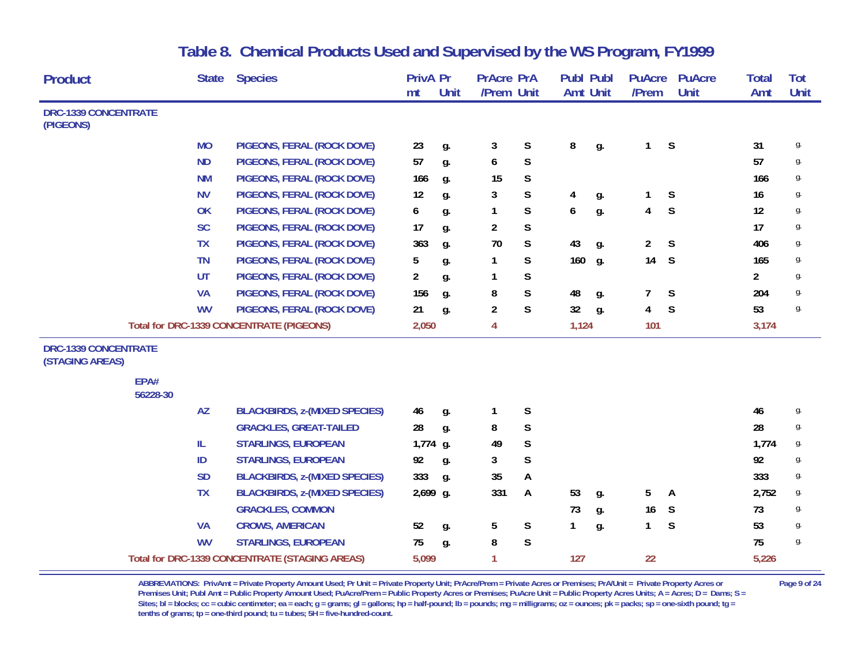| <b>Product</b>                                 |                  | <b>State</b> | <b>Species</b>                                  | <b>PrivA Pr</b> |             | <b>PrAcre PrA</b> |             | <b>Publ Publ</b> |    | <b>PuAcre</b>  | <b>PuAcre</b> | <b>Total</b>   | Tot  |
|------------------------------------------------|------------------|--------------|-------------------------------------------------|-----------------|-------------|-------------------|-------------|------------------|----|----------------|---------------|----------------|------|
|                                                |                  |              |                                                 | mt              | <b>Unit</b> | /Prem Unit        |             | <b>Amt Unit</b>  |    | /Prem          | Unit          | Amt            | Unit |
| <b>DRC-1339 CONCENTRATE</b><br>(PIGEONS)       |                  |              |                                                 |                 |             |                   |             |                  |    |                |               |                |      |
|                                                |                  | <b>MO</b>    | PIGEONS, FERAL (ROCK DOVE)                      | 23              | g.          | 3                 | $\mathsf S$ | 8                | g. | 1              | $\mathsf S$   | 31             | g.   |
|                                                |                  | <b>ND</b>    | PIGEONS, FERAL (ROCK DOVE)                      | 57              | g.          | 6                 | $\mathsf S$ |                  |    |                |               | 57             | g.   |
|                                                |                  | <b>NM</b>    | PIGEONS, FERAL (ROCK DOVE)                      | 166             | g.          | 15                | $\mathsf S$ |                  |    |                |               | 166            | g.   |
|                                                |                  | <b>NV</b>    | PIGEONS, FERAL (ROCK DOVE)                      | 12              | g.          | 3                 | S           | 4                | g. | 1              | $\mathsf S$   | 16             | g.   |
|                                                |                  | OK           | PIGEONS, FERAL (ROCK DOVE)                      | 6               | g.          | 1                 | S           | 6                | g. | 4              | S             | 12             | g.   |
|                                                |                  | <b>SC</b>    | PIGEONS, FERAL (ROCK DOVE)                      | 17              | g.          | $\overline{c}$    | $\mathsf S$ |                  |    |                |               | 17             | g.   |
|                                                |                  | <b>TX</b>    | PIGEONS, FERAL (ROCK DOVE)                      | 363             | g.          | 70                | $\mathsf S$ | 43               | g. | $\overline{2}$ | S             | 406            | g.   |
|                                                |                  | <b>TN</b>    | PIGEONS, FERAL (ROCK DOVE)                      | 5               | g.          | 1                 | $\mathsf S$ | 160              | g. | 14             | S             | 165            | g.   |
|                                                |                  | <b>UT</b>    | PIGEONS, FERAL (ROCK DOVE)                      | $\overline{a}$  | g.          | 1                 | S           |                  |    |                |               | $\overline{2}$ | g.   |
|                                                |                  | <b>VA</b>    | PIGEONS, FERAL (ROCK DOVE)                      | 156             | g.          | 8                 | $\mathsf S$ | 48               | g. | 7              | S             | 204            | g.   |
|                                                |                  | <b>WV</b>    | PIGEONS, FERAL (ROCK DOVE)                      | 21              | g.          | $\overline{2}$    | S           | 32               | g. | 4              | S             | 53             | g.   |
|                                                |                  |              | <b>Total for DRC-1339 CONCENTRATE (PIGEONS)</b> | 2,050           |             | 4                 |             | 1,124            |    | 101            |               | 3,174          |      |
| <b>DRC-1339 CONCENTRATE</b><br>(STAGING AREAS) |                  |              |                                                 |                 |             |                   |             |                  |    |                |               |                |      |
|                                                | EPA#<br>56228-30 |              |                                                 |                 |             |                   |             |                  |    |                |               |                |      |
|                                                |                  | <b>AZ</b>    | <b>BLACKBIRDS, z-(MIXED SPECIES)</b>            | 46              | g.          | 1                 | $\mathsf S$ |                  |    |                |               | 46             | g.   |
|                                                |                  |              | <b>GRACKLES, GREAT-TAILED</b>                   | 28              | g.          | 8                 | $\mathsf S$ |                  |    |                |               | 28             | g.   |
|                                                |                  | IL.          | <b>STARLINGS, EUROPEAN</b>                      | 1,774 g.        |             | 49                | $\mathsf S$ |                  |    |                |               | 1,774          | g.   |
|                                                |                  | ID           | <b>STARLINGS, EUROPEAN</b>                      | 92              | g.          | 3                 | S           |                  |    |                |               | 92             | g.   |
|                                                |                  | <b>SD</b>    | <b>BLACKBIRDS, z-(MIXED SPECIES)</b>            | 333             | g.          | 35                | A           |                  |    |                |               | 333            | g.   |
|                                                |                  | <b>TX</b>    | <b>BLACKBIRDS, z-(MIXED SPECIES)</b>            | 2,699 g.        |             | 331               | A           | 53               | g. | 5              | A             | 2,752          | g.   |
|                                                |                  |              | <b>GRACKLES, COMMON</b>                         |                 |             |                   |             | 73               | g. | 16             | S             | 73             | g.   |
|                                                |                  | <b>VA</b>    | <b>CROWS, AMERICAN</b>                          | 52              | g.          | 5                 | $\mathsf S$ | 1                | g. | $\mathbf{1}$   | S             | 53             | g.   |
|                                                |                  | <b>WV</b>    | <b>STARLINGS, EUROPEAN</b>                      | 75              | g.          | 8                 | S           |                  |    |                |               | 75             | g.   |
|                                                |                  |              | Total for DRC-1339 CONCENTRATE (STAGING AREAS)  | 5,099           |             | 1                 |             | 127              |    | 22             |               | 5,226          |      |

ABBREVIATIONS: PrivAmt = Private Property Amount Used; Pr Unit = Private Property Unit; PrAcre/Prem = Private Acres or Premises; PrA/Unit = Private Property Acres or Page 9 of 24 Premises Unit; Publ Amt = Public Property Amount Used; PuAcre/Prem = Public Property Acres or Premises; PuAcre Unit = Public Property Acres Units; A = Acres; D = Dams; S = Sites; bl = blocks; cc = cubic centimeter; ea = each; g = grams; gl = gallons; hp = half-pound; lb = pounds; mg = milligrams; oz = ounces; pk = packs; sp = one-sixth pound; tg = **tenths of grams; tp = one-third pound; tu = tubes; 5H = five-hundred-count.**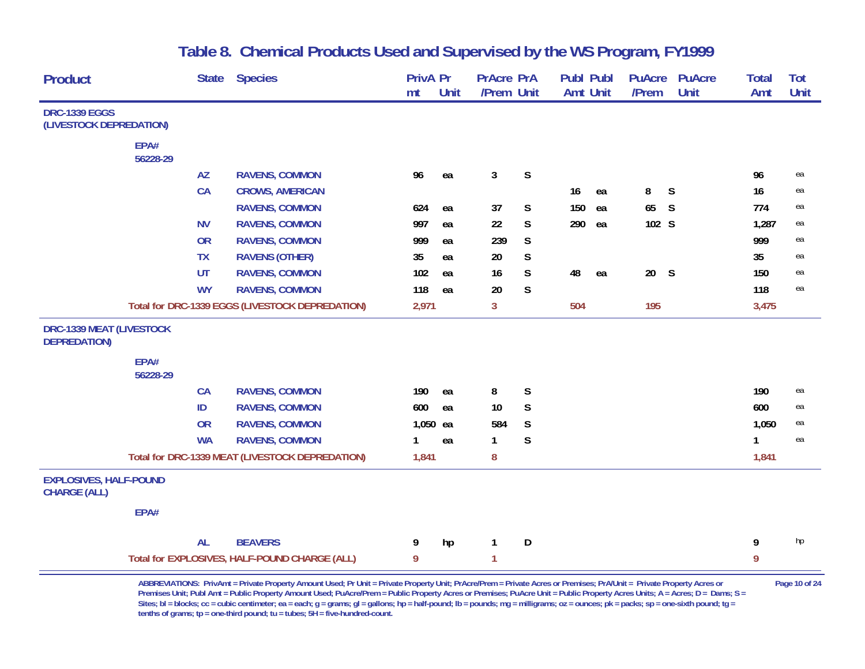| <b>Product</b>                                         |          | <b>State</b> | <b>Species</b>                                  | <b>PrivA Pr</b><br>mt | Unit | <b>PrAcre PrA</b><br>/Prem Unit |             | <b>Publ Publ</b><br><b>Amt Unit</b> |    | <b>PuAcre</b><br>/Prem | <b>PuAcre</b><br>Unit | <b>Total</b><br>Amt | Tot<br><b>Unit</b> |
|--------------------------------------------------------|----------|--------------|-------------------------------------------------|-----------------------|------|---------------------------------|-------------|-------------------------------------|----|------------------------|-----------------------|---------------------|--------------------|
| <b>DRC-1339 EGGS</b>                                   |          |              |                                                 |                       |      |                                 |             |                                     |    |                        |                       |                     |                    |
| (LIVESTOCK DEPREDATION)                                |          |              |                                                 |                       |      |                                 |             |                                     |    |                        |                       |                     |                    |
|                                                        | EPA#     |              |                                                 |                       |      |                                 |             |                                     |    |                        |                       |                     |                    |
|                                                        | 56228-29 |              |                                                 |                       |      |                                 |             |                                     |    |                        |                       |                     |                    |
|                                                        |          | <b>AZ</b>    | <b>RAVENS, COMMON</b>                           | 96                    | ea   | 3                               | $\mathsf S$ |                                     |    |                        |                       | 96                  | ea                 |
|                                                        |          | CA           | <b>CROWS, AMERICAN</b>                          |                       |      |                                 |             | 16                                  | ea | 8                      | S                     | 16                  | ea                 |
|                                                        |          |              | <b>RAVENS, COMMON</b>                           | 624                   | ea   | 37                              | $\mathsf S$ | 150                                 | ea | 65                     | S                     | 774                 | ea                 |
|                                                        |          | <b>NV</b>    | <b>RAVENS, COMMON</b>                           | 997                   | ea   | 22                              | S           | 290                                 | ea | 102 S                  |                       | 1,287               | ea                 |
|                                                        |          | <b>OR</b>    | <b>RAVENS, COMMON</b>                           | 999                   | ea   | 239                             | S           |                                     |    |                        |                       | 999                 | ea                 |
|                                                        |          | <b>TX</b>    | <b>RAVENS (OTHER)</b>                           | 35                    | ea   | 20                              | S           |                                     |    |                        |                       | 35                  | ea                 |
|                                                        |          | UT           | <b>RAVENS, COMMON</b>                           | 102                   | ea   | 16                              | S           | 48                                  | ea | 20 S                   |                       | 150                 | ea                 |
|                                                        |          | <b>WY</b>    | <b>RAVENS, COMMON</b>                           | 118                   | ea   | 20                              | S           |                                     |    |                        |                       | 118                 | ea                 |
|                                                        |          |              | Total for DRC-1339 EGGS (LIVESTOCK DEPREDATION) | 2,971                 |      | 3                               |             | 504                                 |    | 195                    |                       | 3,475               |                    |
| <b>DRC-1339 MEAT (LIVESTOCK</b><br><b>DEPREDATION)</b> |          |              |                                                 |                       |      |                                 |             |                                     |    |                        |                       |                     |                    |
|                                                        | EPA#     |              |                                                 |                       |      |                                 |             |                                     |    |                        |                       |                     |                    |
|                                                        | 56228-29 |              |                                                 |                       |      |                                 |             |                                     |    |                        |                       |                     |                    |
|                                                        |          | <b>CA</b>    | <b>RAVENS, COMMON</b>                           | 190                   | ea   | 8                               | S           |                                     |    |                        |                       | 190                 | ea                 |
|                                                        |          | ID           | <b>RAVENS, COMMON</b>                           | 600                   | ea   | 10                              | S           |                                     |    |                        |                       | 600                 | ea                 |
|                                                        |          | <b>OR</b>    | <b>RAVENS, COMMON</b>                           | 1,050 ea              |      | 584                             | $\mathsf S$ |                                     |    |                        |                       | 1,050               | ea                 |
|                                                        |          | <b>WA</b>    | <b>RAVENS, COMMON</b>                           | 1                     | ea   | 1                               | S           |                                     |    |                        |                       | 1                   | ea                 |
|                                                        |          |              | Total for DRC-1339 MEAT (LIVESTOCK DEPREDATION) | 1,841                 |      | 8                               |             |                                     |    |                        |                       | 1,841               |                    |
| <b>EXPLOSIVES, HALF-POUND</b><br><b>CHARGE (ALL)</b>   |          |              |                                                 |                       |      |                                 |             |                                     |    |                        |                       |                     |                    |
|                                                        | EPA#     |              |                                                 |                       |      |                                 |             |                                     |    |                        |                       |                     |                    |
|                                                        |          | <b>AL</b>    | <b>BEAVERS</b>                                  | 9                     | hp   | 1                               | D           |                                     |    |                        |                       | 9                   | hp                 |
|                                                        |          |              | Total for EXPLOSIVES, HALF-POUND CHARGE (ALL)   | 9                     |      | 1                               |             |                                     |    |                        |                       | 9                   |                    |

**ABBREVIATIONS: PrivAmt = Private Property Amount Used; Pr Unit = Private Property Unit; PrAcre/Prem = Private Acres or Premises; PrA/Unit = Private Property Acres or Page 10 of 24 Premises Unit; Publ Amt = Public Property Amount Used; PuAcre/Prem = Public Property Acres or Premises; PuAcre Unit = Public Property Acres Units; A = Acres; D = Dams; S =**  Sites; bl = blocks; cc = cubic centimeter; ea = each; g = grams; gl = gallons; hp = half-pound; lb = pounds; mg = milligrams; oz = ounces; pk = packs; sp = one-sixth pound; tg = **tenths of grams; tp = one-third pound; tu = tubes; 5H = five-hundred-count.**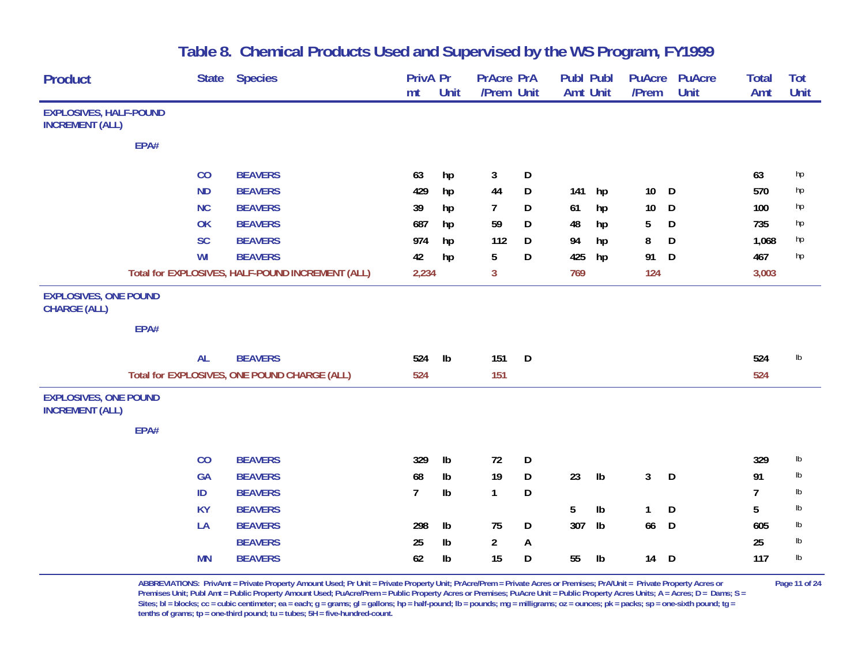| <b>Product</b>                                          |      | <b>State</b> | <b>Species</b>                                   | PrivA Pr       |               | <b>PrAcre PrA</b> |   | Publ Publ       |                | <b>PuAcre</b>   | <b>PuAcre</b> | Total          | Tot  |
|---------------------------------------------------------|------|--------------|--------------------------------------------------|----------------|---------------|-------------------|---|-----------------|----------------|-----------------|---------------|----------------|------|
|                                                         |      |              |                                                  | mt             | Unit          | /Prem Unit        |   | <b>Amt Unit</b> |                | /Prem           | <b>Unit</b>   | Amt            | Unit |
| <b>EXPLOSIVES, HALF-POUND</b><br><b>INCREMENT (ALL)</b> |      |              |                                                  |                |               |                   |   |                 |                |                 |               |                |      |
|                                                         | EPA# |              |                                                  |                |               |                   |   |                 |                |                 |               |                |      |
|                                                         |      | CO           | <b>BEAVERS</b>                                   | 63             | hp            | 3                 | D |                 |                |                 |               | 63             | hp   |
|                                                         |      | <b>ND</b>    | <b>BEAVERS</b>                                   | 429            | hp            | 44                | D | 141             | hp             | 10 <sup>°</sup> | D             | 570            | hp   |
|                                                         |      | <b>NC</b>    | <b>BEAVERS</b>                                   | 39             | hp            | 7                 | D | 61              | hp             | $10$            | D             | 100            | hp   |
|                                                         |      | OK           | <b>BEAVERS</b>                                   | 687            | hp            | 59                | D | 48              | hp             | 5               | D             | 735            | hp   |
|                                                         |      | <b>SC</b>    | <b>BEAVERS</b>                                   | 974            | hp            | 112               | D | 94              | hp             | 8               | D             | 1,068          | hp   |
|                                                         |      | WI           | <b>BEAVERS</b>                                   | 42             | hp            | 5                 | D | 425             | hp             | 91              | D             | 467            | hp   |
|                                                         |      |              | Total for EXPLOSIVES, HALF-POUND INCREMENT (ALL) | 2,234          |               | 3                 |   | 769             |                | 124             |               | 3,003          |      |
| <b>EXPLOSIVES, ONE POUND</b><br><b>CHARGE (ALL)</b>     |      |              |                                                  |                |               |                   |   |                 |                |                 |               |                |      |
|                                                         | EPA# |              |                                                  |                |               |                   |   |                 |                |                 |               |                |      |
|                                                         |      | <b>AL</b>    | <b>BEAVERS</b>                                   | 524            | $\mathsf{lb}$ | 151               | D |                 |                |                 |               | 524            | Ib   |
|                                                         |      |              | Total for EXPLOSIVES, ONE POUND CHARGE (ALL)     | 524            |               | 151               |   |                 |                |                 |               | 524            |      |
| <b>EXPLOSIVES, ONE POUND</b><br><b>INCREMENT (ALL)</b>  |      |              |                                                  |                |               |                   |   |                 |                |                 |               |                |      |
|                                                         | EPA# |              |                                                  |                |               |                   |   |                 |                |                 |               |                |      |
|                                                         |      | CO           | <b>BEAVERS</b>                                   | 329            | Ib            | 72                | D |                 |                |                 |               | 329            | lb   |
|                                                         |      | GA           | <b>BEAVERS</b>                                   | 68             | Ib            | 19                | D | 23              | $\mathsf{lb}$  | 3 <sup>1</sup>  | D             | 91             | lb   |
|                                                         |      | ID           | <b>BEAVERS</b>                                   | $\overline{7}$ | Ib            | $\mathbf{1}$      | D |                 |                |                 |               | $\overline{7}$ | lb   |
|                                                         |      | <b>KY</b>    | <b>BEAVERS</b>                                   |                |               |                   |   | 5               | $\mathsf{lb}$  | $\mathbf{1}$    | D             | 5              | lb   |
|                                                         |      | LA           | <b>BEAVERS</b>                                   | 298            | Ib            | 75                | D | 307             | I <sub>b</sub> | 66              | D             | 605            | lb   |
|                                                         |      |              | <b>BEAVERS</b>                                   | 25             | Ib            | $\overline{a}$    | A |                 |                |                 |               | 25             | lb   |
|                                                         |      | <b>MN</b>    | <b>BEAVERS</b>                                   | 62             | Ib            | 15                | D | 55              | $\mathsf{lb}$  | 14              | D             | 117            | Ib   |

**ABBREVIATIONS: PrivAmt = Private Property Amount Used; Pr Unit = Private Property Unit; PrAcre/Prem = Private Acres or Premises; PrA/Unit = Private Property Acres or Page 11 of 24 Premises Unit; Publ Amt = Public Property Amount Used; PuAcre/Prem = Public Property Acres or Premises; PuAcre Unit = Public Property Acres Units; A = Acres; D = Dams; S =**  Sites; bl = blocks; cc = cubic centimeter; ea = each; g = grams; gl = gallons; hp = half-pound; lb = pounds; mg = milligrams; oz = ounces; pk = packs; sp = one-sixth pound; tg = **tenths of grams; tp = one-third pound; tu = tubes; 5H = five-hundred-count.**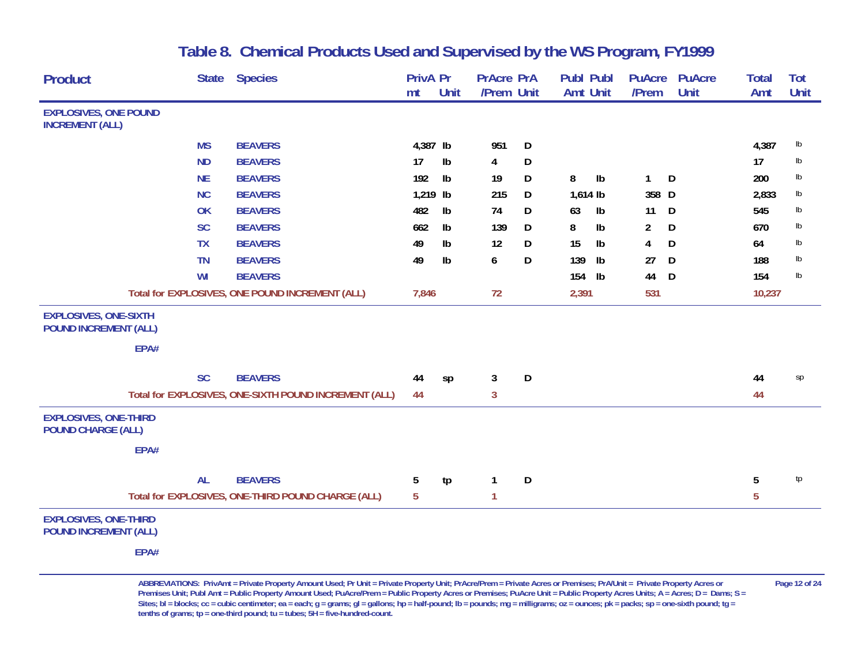| <b>Product</b>                                               | <b>State</b> | <b>Species</b>                                        | <b>PrivA Pr</b> |               | <b>PrAcre PrA</b> |   | <b>Publ Publ</b> |                | <b>PuAcre</b>  | <b>PuAcre</b> | <b>Total</b> | Tot           |
|--------------------------------------------------------------|--------------|-------------------------------------------------------|-----------------|---------------|-------------------|---|------------------|----------------|----------------|---------------|--------------|---------------|
|                                                              |              |                                                       | mt              | <b>Unit</b>   | /Prem Unit        |   | Amt Unit         |                | /Prem          | <b>Unit</b>   | Amt          | Unit          |
| <b>EXPLOSIVES, ONE POUND</b><br><b>INCREMENT (ALL)</b>       |              |                                                       |                 |               |                   |   |                  |                |                |               |              |               |
|                                                              | <b>MS</b>    | <b>BEAVERS</b>                                        | 4,387 lb        |               | 951               | D |                  |                |                |               | 4,387        | $\mathsf{lb}$ |
|                                                              | <b>ND</b>    | <b>BEAVERS</b>                                        | 17              | Ib            | 4                 | D |                  |                |                |               | 17           | lb            |
|                                                              | <b>NE</b>    | <b>BEAVERS</b>                                        | 192             | $\mathsf{lb}$ | 19                | D | 8                | $\mathsf{lb}$  | $\mathbf{1}$   | D             | 200          | $\mathsf{lb}$ |
|                                                              | <b>NC</b>    | <b>BEAVERS</b>                                        | 1,219 lb        |               | 215               | D | $1,614$ lb       |                | 358 D          |               | 2,833        | lb            |
|                                                              | OK           | <b>BEAVERS</b>                                        | 482             | $\mathsf{lb}$ | 74                | D | 63               | I <sub>b</sub> | 11             | D             | 545          | lb            |
|                                                              | <b>SC</b>    | <b>BEAVERS</b>                                        | 662             | Ib            | 139               | D | 8                | $\mathsf{lb}$  | $\overline{2}$ | D             | 670          | lb            |
|                                                              | <b>TX</b>    | <b>BEAVERS</b>                                        | 49              | Ib            | 12                | D | 15               | $\mathsf{lb}$  | 4              | D             | 64           | $\mathsf{lb}$ |
|                                                              | <b>TN</b>    | <b>BEAVERS</b>                                        | 49              | Ib            | 6                 | D | 139              | I <sub>b</sub> | 27             | D             | 188          | lb            |
|                                                              | WI           | <b>BEAVERS</b>                                        |                 |               |                   |   | 154              | $\mathsf{lb}$  | 44             | D             | 154          | Ib            |
|                                                              |              | Total for EXPLOSIVES, ONE POUND INCREMENT (ALL)       | 7,846           |               | 72                |   | 2,391            |                | 531            |               | 10,237       |               |
| <b>EXPLOSIVES, ONE-SIXTH</b><br><b>POUND INCREMENT (ALL)</b> | EPA#         |                                                       |                 |               |                   |   |                  |                |                |               |              |               |
|                                                              | <b>SC</b>    | <b>BEAVERS</b>                                        | 44              | sp            | 3                 | D |                  |                |                |               | 44           | sp            |
|                                                              |              | Total for EXPLOSIVES, ONE-SIXTH POUND INCREMENT (ALL) | 44              |               | 3                 |   |                  |                |                |               | 44           |               |
| <b>EXPLOSIVES, ONE-THIRD</b><br><b>POUND CHARGE (ALL)</b>    |              |                                                       |                 |               |                   |   |                  |                |                |               |              |               |
|                                                              | EPA#         |                                                       |                 |               |                   |   |                  |                |                |               |              |               |
|                                                              | <b>AL</b>    | <b>BEAVERS</b>                                        | 5               | tp            | 1                 | D |                  |                |                |               | 5            | tp            |
|                                                              |              | Total for EXPLOSIVES, ONE-THIRD POUND CHARGE (ALL)    | 5               |               | 1                 |   |                  |                |                |               | 5            |               |
| <b>EXPLOSIVES, ONE-THIRD</b><br><b>POUND INCREMENT (ALL)</b> | EPA#         |                                                       |                 |               |                   |   |                  |                |                |               |              |               |

**ABBREVIATIONS: PrivAmt = Private Property Amount Used; Pr Unit = Private Property Unit; PrAcre/Prem = Private Acres or Premises; PrA/Unit = Private Property Acres or Page 12 of 24** Premises Unit; Publ Amt = Public Property Amount Used; PuAcre/Prem = Public Property Acres or Premises; PuAcre Unit = Public Property Acres Units; A = Acres; D = Dams; S = Sites; bl = blocks; cc = cubic centimeter; ea = each; g = grams; gl = gallons; hp = half-pound; lb = pounds; mg = milligrams; oz = ounces; pk = packs; sp = one-sixth pound; tg = **tenths of grams; tp = one-third pound; tu = tubes; 5H = five-hundred-count.**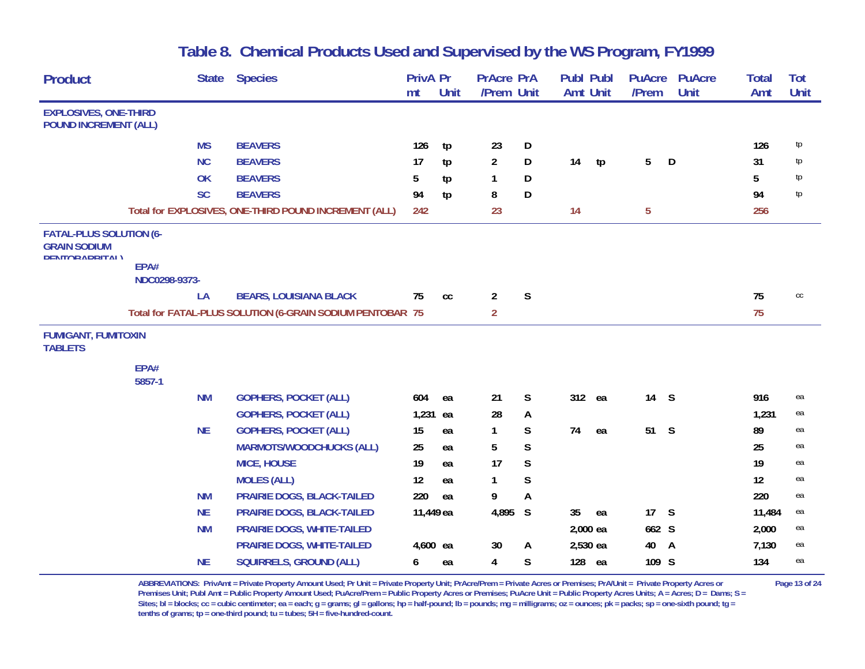| <b>Product</b>                                                                 |                       | <b>State</b> | <b>Species</b>                                            | <b>PrivA Pr</b> |               | <b>PrAcre PrA</b> |             | <b>Publ Publ</b> |    | <b>PuAcre</b>  | <b>PuAcre</b> | <b>Total</b> | <b>Tot</b>    |
|--------------------------------------------------------------------------------|-----------------------|--------------|-----------------------------------------------------------|-----------------|---------------|-------------------|-------------|------------------|----|----------------|---------------|--------------|---------------|
|                                                                                |                       |              |                                                           | mt              | Unit          | /Prem Unit        |             | <b>Amt Unit</b>  |    | /Prem          | <b>Unit</b>   | Amt          | Unit          |
| <b>EXPLOSIVES, ONE-THIRD</b><br><b>POUND INCREMENT (ALL)</b>                   |                       |              |                                                           |                 |               |                   |             |                  |    |                |               |              |               |
|                                                                                |                       | <b>MS</b>    | <b>BEAVERS</b>                                            | 126             | tp            | 23                | D           |                  |    |                |               | 126          | tp            |
|                                                                                |                       | <b>NC</b>    | <b>BEAVERS</b>                                            | 17              | tp            | $\overline{a}$    | D           | 14               | tp | 5              | D             | 31           | tp            |
|                                                                                |                       | OK           | <b>BEAVERS</b>                                            | 5               | tp            | 1                 | D           |                  |    |                |               | 5            | tp            |
|                                                                                |                       | <b>SC</b>    | <b>BEAVERS</b>                                            | 94              | tp            | 8                 | D           |                  |    |                |               | 94           | tp            |
|                                                                                |                       |              | Total for EXPLOSIVES, ONE-THIRD POUND INCREMENT (ALL)     | 242             |               | 23                |             | 14               |    | $\overline{5}$ |               | 256          |               |
| <b>FATAL-PLUS SOLUTION (6-</b><br><b>GRAIN SODIUM</b><br><b>DENTORADRITAL)</b> | EPA#<br>NDC0298-9373- |              |                                                           |                 |               |                   |             |                  |    |                |               |              |               |
|                                                                                |                       | LA           | <b>BEARS, LOUISIANA BLACK</b>                             | 75              | $\mathsf{cc}$ | $\overline{a}$    | $\mathsf S$ |                  |    |                |               | 75           | $\mathsf{CC}$ |
|                                                                                |                       |              | Total for FATAL-PLUS SOLUTION (6-GRAIN SODIUM PENTOBAR 75 |                 |               | $\overline{2}$    |             |                  |    |                |               | 75           |               |
| <b>FUMIGANT, FUMITOXIN</b><br><b>TABLETS</b>                                   |                       |              |                                                           |                 |               |                   |             |                  |    |                |               |              |               |
|                                                                                | EPA#<br>5857-1        |              |                                                           |                 |               |                   |             |                  |    |                |               |              |               |
|                                                                                |                       | <b>NM</b>    | <b>GOPHERS, POCKET (ALL)</b>                              | 604             | ea            | 21                | S           | 312 ea           |    | 14             | S             | 916          | ea            |
|                                                                                |                       |              | <b>GOPHERS, POCKET (ALL)</b>                              | 1,231 ea        |               | 28                | A           |                  |    |                |               | 1,231        | ea            |
|                                                                                |                       | <b>NE</b>    | <b>GOPHERS, POCKET (ALL)</b>                              | 15              | ea            | 1                 | S           | 74               | ea | 51             | S             | 89           | ea            |
|                                                                                |                       |              | <b>MARMOTS/WOODCHUCKS (ALL)</b>                           | 25              | ea            | 5                 | $\mathsf S$ |                  |    |                |               | 25           | ea            |
|                                                                                |                       |              | <b>MICE, HOUSE</b>                                        | 19              | ea            | 17                | S           |                  |    |                |               | 19           | ea            |
|                                                                                |                       |              | <b>MOLES (ALL)</b>                                        | 12              | ea            | $\mathbf{1}$      | S           |                  |    |                |               | 12           | ea            |
|                                                                                |                       | <b>NM</b>    | PRAIRIE DOGS, BLACK-TAILED                                | 220             | ea            | 9                 | A           |                  |    |                |               | 220          | ea            |
|                                                                                |                       | <b>NE</b>    | <b>PRAIRIE DOGS, BLACK-TAILED</b>                         | 11,449 ea       |               | 4,895             | S           | 35               | ea | 17             | S             | 11,484       | ea            |
|                                                                                |                       | <b>NM</b>    | PRAIRIE DOGS, WHITE-TAILED                                |                 |               |                   |             | 2,000 ea         |    | 662 S          |               | 2,000        | ea            |
|                                                                                |                       |              | PRAIRIE DOGS, WHITE-TAILED                                | 4,600 ea        |               | 30                | A           | 2,530 ea         |    | 40             | A             | 7,130        | ea            |
|                                                                                |                       | <b>NE</b>    | <b>SQUIRRELS, GROUND (ALL)</b>                            | 6               | ea            | 4                 | S           | 128              | ea | 109 S          |               | 134          | ea            |

ABBREVIATIONS: PrivAmt = Private Property Amount Used; Pr Unit = Private Property Unit; PrAcre/Prem = Private Acres or Premises; PrA/Unit = Private Property Acres or Page 13 of 24 Premises Unit; Publ Amt = Public Property Amount Used; PuAcre/Prem = Public Property Acres or Premises; PuAcre Unit = Public Property Acres Units; A = Acres; D = Dams; S = Sites; bl = blocks; cc = cubic centimeter; ea = each; g = grams; gl = gallons; hp = half-pound; lb = pounds; mg = milligrams; oz = ounces; pk = packs; sp = one-sixth pound; tg = **tenths of grams; tp = one-third pound; tu = tubes; 5H = five-hundred-count.**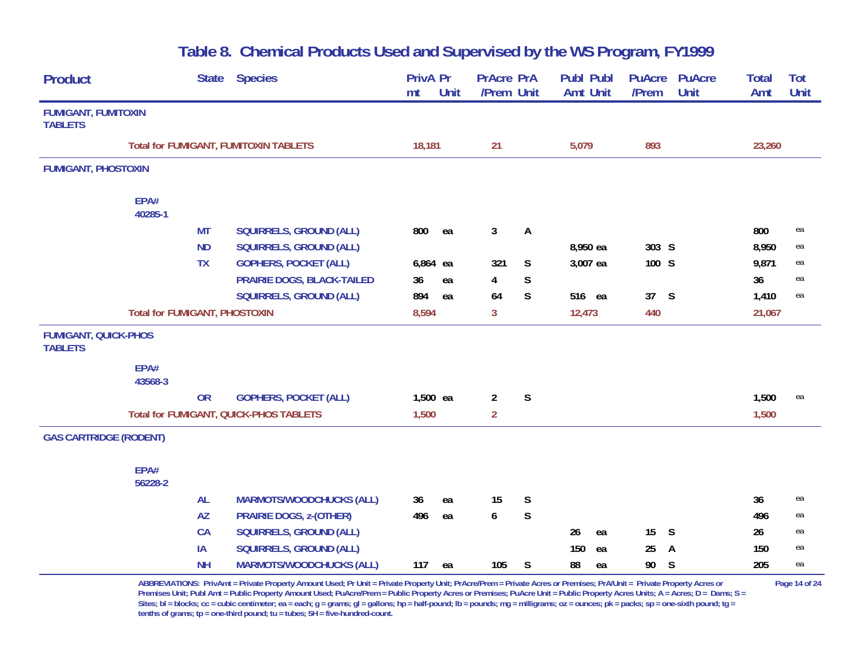| Product                                       |                                      | <b>State</b> | <b>Species</b>                                | PrivA Pr<br>mt | Unit | <b>PrAcre PrA</b><br>/Prem Unit |             | Publ Publ<br><b>Amt Unit</b> | <b>PuAcre</b><br>/Prem | <b>PuAcre</b><br>Unit | Total<br>Amt | Tot<br>Unit |
|-----------------------------------------------|--------------------------------------|--------------|-----------------------------------------------|----------------|------|---------------------------------|-------------|------------------------------|------------------------|-----------------------|--------------|-------------|
| <b>FUMIGANT, FUMITOXIN</b><br><b>TABLETS</b>  |                                      |              |                                               |                |      |                                 |             |                              |                        |                       |              |             |
|                                               |                                      |              | <b>Total for FUMIGANT, FUMITOXIN TABLETS</b>  | 18,181         |      | 21                              |             | 5,079                        | 893                    |                       | 23,260       |             |
| <b>FUMIGANT, PHOSTOXIN</b>                    |                                      |              |                                               |                |      |                                 |             |                              |                        |                       |              |             |
|                                               | EPA#<br>40285-1                      |              |                                               |                |      |                                 |             |                              |                        |                       |              |             |
|                                               |                                      | <b>MT</b>    | <b>SQUIRRELS, GROUND (ALL)</b>                | 800            | ea   | $\mathbf{3}$                    | A           |                              |                        |                       | 800          | ea          |
|                                               |                                      | <b>ND</b>    | <b>SQUIRRELS, GROUND (ALL)</b>                |                |      |                                 |             | 8,950 ea                     | 303 S                  |                       | 8,950        | ea          |
|                                               |                                      | <b>TX</b>    | <b>GOPHERS, POCKET (ALL)</b>                  | 6,864 ea       |      | 321                             | S           | 3,007 ea                     | 100 S                  |                       | 9,871        | ea          |
|                                               |                                      |              | PRAIRIE DOGS, BLACK-TAILED                    | 36             | ea   | 4                               | $\mathsf S$ |                              |                        |                       | 36           | ea          |
|                                               |                                      |              | <b>SQUIRRELS, GROUND (ALL)</b>                | 894            | ea   | 64                              | S           | 516 ea                       | 37 S                   |                       | 1,410        | ea          |
|                                               | <b>Total for FUMIGANT, PHOSTOXIN</b> |              |                                               | 8,594          |      | 3                               |             | 12,473                       | 440                    |                       | 21,067       |             |
| <b>FUMIGANT, QUICK-PHOS</b><br><b>TABLETS</b> |                                      |              |                                               |                |      |                                 |             |                              |                        |                       |              |             |
|                                               | EPA#<br>43568-3                      |              |                                               |                |      |                                 |             |                              |                        |                       |              |             |
|                                               |                                      | <b>OR</b>    | <b>GOPHERS, POCKET (ALL)</b>                  | 1,500 ea       |      | $\overline{2}$                  | $\mathsf S$ |                              |                        |                       | 1,500        | ea          |
|                                               |                                      |              | <b>Total for FUMIGANT, QUICK-PHOS TABLETS</b> | 1,500          |      | $\overline{2}$                  |             |                              |                        |                       | 1,500        |             |
| <b>GAS CARTRIDGE (RODENT)</b>                 |                                      |              |                                               |                |      |                                 |             |                              |                        |                       |              |             |
|                                               | EPA#<br>56228-2                      |              |                                               |                |      |                                 |             |                              |                        |                       |              |             |
|                                               |                                      | <b>AL</b>    | <b>MARMOTS/WOODCHUCKS (ALL)</b>               | 36             | ea   | 15                              | S           |                              |                        |                       | 36           | ea          |
|                                               |                                      | <b>AZ</b>    | <b>PRAIRIE DOGS, z-(OTHER)</b>                | 496            | ea   | 6                               | $\mathsf S$ |                              |                        |                       | 496          | ea          |
|                                               |                                      | <b>CA</b>    | <b>SQUIRRELS, GROUND (ALL)</b>                |                |      |                                 |             | 26<br>ea                     | 15                     | S                     | 26           | ea          |
|                                               |                                      | IA           | <b>SQUIRRELS, GROUND (ALL)</b>                |                |      |                                 |             | 150<br>ea                    | 25                     | A                     | 150          | ea          |
|                                               |                                      | <b>NH</b>    | <b>MARMOTS/WOODCHUCKS (ALL)</b>               | 117            | ea   | 105                             | S           | 88<br>ea                     | 90                     | <sub>S</sub>          | 205          | ea          |

**ABBREVIATIONS: PrivAmt = Private Property Amount Used; Pr Unit = Private Property Unit; PrAcre/Prem = Private Acres or Premises; PrA/Unit = Private Property Acres or Page 14 of 24 Premises Unit; Publ Amt = Public Property Amount Used; PuAcre/Prem = Public Property Acres or Premises; PuAcre Unit = Public Property Acres Units; A = Acres; D = Dams; S =**  Sites; bl = blocks; cc = cubic centimeter; ea = each; g = grams; gl = gallons; hp = half-pound; lb = pounds; mg = milligrams; oz = ounces; pk = packs; sp = one-sixth pound; tg = **tenths of grams; tp = one-third pound; tu = tubes; 5H = five-hundred-count.**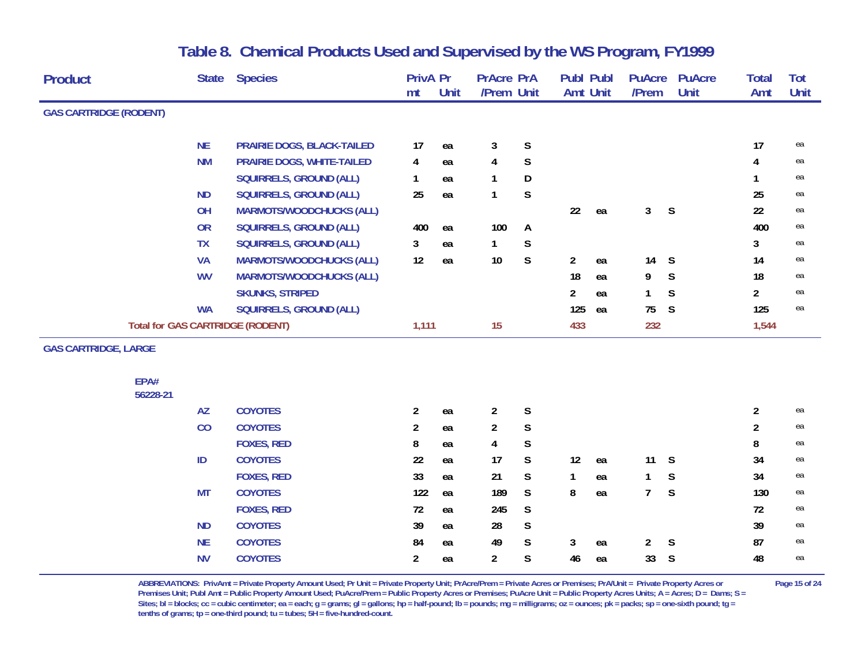| Product                       | <b>State</b>                            | <b>Species</b>                  | <b>PrivA Pr</b> |      | <b>PrAcre PrA</b> |             | <b>Publ Publ</b> |    | <b>PuAcre</b>  | <b>PuAcre</b> | <b>Total</b>   | Tot  |
|-------------------------------|-----------------------------------------|---------------------------------|-----------------|------|-------------------|-------------|------------------|----|----------------|---------------|----------------|------|
|                               |                                         |                                 | mt              | Unit | /Prem Unit        |             | <b>Amt Unit</b>  |    | /Prem          | Unit          | Amt            | Unit |
| <b>GAS CARTRIDGE (RODENT)</b> |                                         |                                 |                 |      |                   |             |                  |    |                |               |                |      |
|                               | <b>NE</b>                               | PRAIRIE DOGS, BLACK-TAILED      | 17              | ea   | 3                 | $\mathsf S$ |                  |    |                |               | 17             | ea   |
|                               | <b>NM</b>                               | PRAIRIE DOGS, WHITE-TAILED      | 4               | ea   | 4                 | $\mathsf S$ |                  |    |                |               | 4              | ea   |
|                               |                                         | <b>SQUIRRELS, GROUND (ALL)</b>  | $\mathbf{1}$    | ea   | 1                 | D           |                  |    |                |               | 1              | ea   |
|                               | <b>ND</b>                               | SQUIRRELS, GROUND (ALL)         | 25              | ea   | $\mathbf{1}$      | S           |                  |    |                |               | 25             | ea   |
|                               | OH                                      | <b>MARMOTS/WOODCHUCKS (ALL)</b> |                 |      |                   |             | 22               | ea | 3              | S             | 22             | ea   |
|                               | <b>OR</b>                               | <b>SQUIRRELS, GROUND (ALL)</b>  | 400             | ea   | 100               | A           |                  |    |                |               | 400            | ea   |
|                               | <b>TX</b>                               | <b>SQUIRRELS, GROUND (ALL)</b>  | 3               | ea   | 1                 | $\mathsf S$ |                  |    |                |               | 3              | ea   |
|                               | <b>VA</b>                               | <b>MARMOTS/WOODCHUCKS (ALL)</b> | 12              | ea   | $10$              | $\mathsf S$ | $\overline{a}$   | ea | 14             | S             | 14             | ea   |
|                               | <b>WV</b>                               | <b>MARMOTS/WOODCHUCKS (ALL)</b> |                 |      |                   |             | 18               | ea | 9              | S             | 18             | ea   |
|                               |                                         | <b>SKUNKS, STRIPED</b>          |                 |      |                   |             | 2                | ea | $\mathbf{1}$   | S             | $\overline{a}$ | ea   |
|                               | <b>WA</b>                               | <b>SQUIRRELS, GROUND (ALL)</b>  |                 |      |                   |             | 125              | ea | 75             | S             | 125            | ea   |
|                               | <b>Total for GAS CARTRIDGE (RODENT)</b> |                                 | 1,111           |      | 15                |             | 433              |    | 232            |               | 1,544          |      |
| <b>GAS CARTRIDGE, LARGE</b>   |                                         |                                 |                 |      |                   |             |                  |    |                |               |                |      |
| EPA#                          |                                         |                                 |                 |      |                   |             |                  |    |                |               |                |      |
| 56228-21                      |                                         |                                 |                 |      |                   |             |                  |    |                |               |                |      |
|                               | <b>AZ</b>                               | <b>COYOTES</b>                  | $\overline{2}$  | ea   | $\overline{2}$    | $\mathsf S$ |                  |    |                |               | $\overline{2}$ | ea   |
|                               | CO                                      | <b>COYOTES</b>                  | $\overline{2}$  | ea   | $\overline{2}$    | $\mathsf S$ |                  |    |                |               | $\overline{2}$ | ea   |
|                               |                                         | <b>FOXES, RED</b>               | 8               | ea   | 4                 | $\mathsf S$ |                  |    |                |               | 8              | ea   |
|                               | ID                                      | <b>COYOTES</b>                  | 22              | ea   | 17                | S           | 12               | ea | 11             | <sub>S</sub>  | 34             | ea   |
|                               |                                         | <b>FOXES, RED</b>               | 33              | ea   | 21                | $\mathsf S$ | 1                | ea | $\mathbf{1}$   | S             | 34             | ea   |
|                               | <b>MT</b>                               | <b>COYOTES</b>                  | 122             | ea   | 189               | S           | 8                | ea | $7^{\circ}$    | S             | 130            | ea   |
|                               |                                         | <b>FOXES, RED</b>               | 72              | ea   | 245               | $\mathsf S$ |                  |    |                |               | 72             | ea   |
|                               | <b>ND</b>                               | <b>COYOTES</b>                  | 39              | ea   | 28                | S           |                  |    |                |               | 39             | ea   |
|                               | <b>NE</b>                               | <b>COYOTES</b>                  | 84              | ea   | 49                | $\mathsf S$ | 3                | ea | $\overline{2}$ | S             | 87             | ea   |
|                               | <b>NV</b>                               | <b>COYOTES</b>                  | $\overline{a}$  | ea   | $\overline{a}$    | S           | 46               | ea | 33             | S             | 48             | ea   |
|                               |                                         |                                 |                 |      |                   |             |                  |    |                |               |                |      |

ABBREVIATIONS: PrivAmt = Private Property Amount Used; Pr Unit = Private Property Unit; PrAcre/Prem = Private Acres or Premises; PrA/Unit = Private Property Acres or Page 15 of 24 Premises Unit; Publ Amt = Public Property Amount Used; PuAcre/Prem = Public Property Acres or Premises; PuAcre Unit = Public Property Acres Units; A = Acres; D = Dams; S = Sites; bl = blocks; cc = cubic centimeter; ea = each; g = grams; gl = gallons; hp = half-pound; lb = pounds; mg = milligrams; oz = ounces; pk = packs; sp = one-sixth pound; tg = **tenths of grams; tp = one-third pound; tu = tubes; 5H = five-hundred-count.**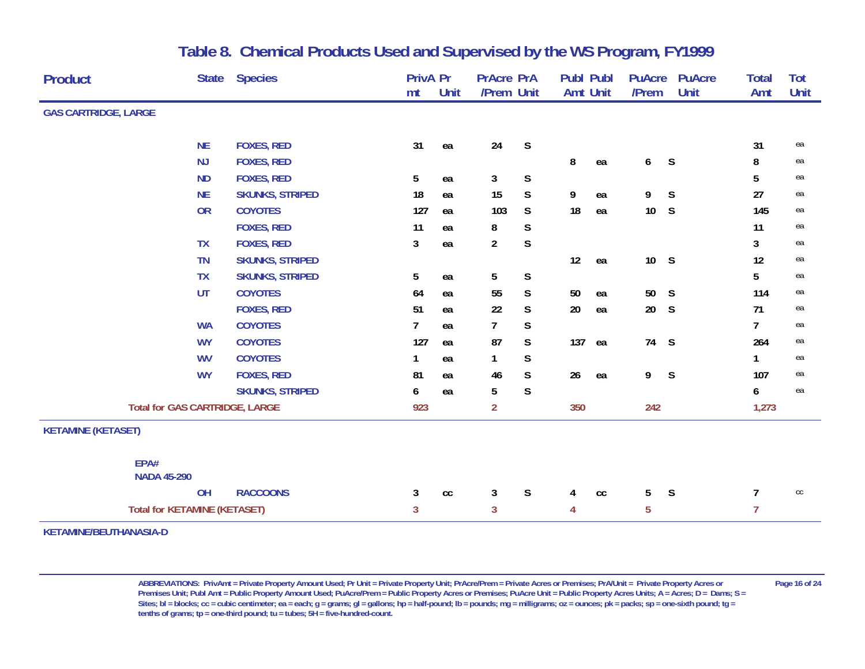| <b>Product</b>              | <b>State</b>                          | <b>Species</b>         | <b>PrivA Pr</b><br>mt | Unit          | <b>PrAcre PrA</b><br>/Prem Unit |             | <b>Publ Publ</b><br><b>Amt Unit</b> |    | <b>PuAcre</b><br>/Prem | <b>PuAcre</b><br>Unit | <b>Total</b><br>Amt | Tot<br>Unit   |
|-----------------------------|---------------------------------------|------------------------|-----------------------|---------------|---------------------------------|-------------|-------------------------------------|----|------------------------|-----------------------|---------------------|---------------|
| <b>GAS CARTRIDGE, LARGE</b> |                                       |                        |                       |               |                                 |             |                                     |    |                        |                       |                     |               |
|                             | <b>NE</b>                             | <b>FOXES, RED</b>      | 31                    | ea            | 24                              | $\mathsf S$ |                                     |    |                        |                       | 31                  | ea            |
|                             | <b>NJ</b>                             | <b>FOXES, RED</b>      |                       |               |                                 |             | 8                                   | ea | 6                      | $\mathsf S$           | 8                   | ea            |
|                             | <b>ND</b>                             | <b>FOXES, RED</b>      | $5\phantom{.0}$       | ea            | 3                               | S           |                                     |    |                        |                       | 5                   | ea            |
|                             | <b>NE</b>                             | <b>SKUNKS, STRIPED</b> | 18                    | ea            | 15                              | S           | 9                                   | ea | 9                      | S                     | 27                  | ea            |
|                             | <b>OR</b>                             | <b>COYOTES</b>         | 127                   | ea            | 103                             | S           | 18                                  | ea | 10 <sup>°</sup>        | $\mathsf S$           | 145                 | ea            |
|                             |                                       | <b>FOXES, RED</b>      | 11                    | ea            | 8                               | S           |                                     |    |                        |                       | 11                  | ea            |
|                             | <b>TX</b>                             | <b>FOXES, RED</b>      | 3                     | ea            | $\overline{2}$                  | S           |                                     |    |                        |                       | 3                   | ea            |
|                             | <b>TN</b>                             | <b>SKUNKS, STRIPED</b> |                       |               |                                 |             | 12                                  | ea | 10 S                   |                       | 12                  | ea            |
|                             | <b>TX</b>                             | <b>SKUNKS, STRIPED</b> | $5\phantom{.0}$       | ea            | 5                               | $\mathsf S$ |                                     |    |                        |                       | 5                   | ea            |
|                             | <b>UT</b>                             | <b>COYOTES</b>         | 64                    | ea            | 55                              | S           | 50                                  | ea | 50 S                   |                       | 114                 | ea            |
|                             |                                       | <b>FOXES, RED</b>      | 51                    | ea            | 22                              | S           | 20                                  | ea | 20 <sub>2</sub>        | S                     | 71                  | ea            |
|                             | <b>WA</b>                             | <b>COYOTES</b>         | $\overline{7}$        | ea            | $\overline{7}$                  | S           |                                     |    |                        |                       | $\overline{7}$      | ea            |
|                             | <b>WY</b>                             | <b>COYOTES</b>         | 127                   | ea            | 87                              | S           | 137                                 | ea | 74                     | $\mathsf S$           | 264                 | ea            |
|                             | <b>WV</b>                             | <b>COYOTES</b>         | $\mathbf{1}$          | ea            | 1                               | S           |                                     |    |                        |                       | 1                   | ea            |
|                             | <b>WY</b>                             | <b>FOXES, RED</b>      | 81                    | ea            | 46                              | S           | 26                                  | ea | 9                      | $\mathsf{S}$          | 107                 | ea            |
|                             |                                       | <b>SKUNKS, STRIPED</b> | 6                     | ea            | 5                               | $\mathsf S$ |                                     |    |                        |                       | 6                   | ea            |
|                             | <b>Total for GAS CARTRIDGE, LARGE</b> |                        | 923                   |               | $\overline{2}$                  |             | 350                                 |    | 242                    |                       | 1,273               |               |
| <b>KETAMINE (KETASET)</b>   |                                       |                        |                       |               |                                 |             |                                     |    |                        |                       |                     |               |
|                             | EPA#<br><b>NADA 45-290</b>            |                        |                       |               |                                 |             |                                     |    |                        |                       |                     |               |
|                             | OH                                    | <b>RACCOONS</b>        | 3                     | $\mathsf{cc}$ | 3                               | S           | 4                                   | cc | 5                      | $\mathsf S$           | 7                   | $\mathsf{CC}$ |
|                             | <b>Total for KETAMINE (KETASET)</b>   |                        | $\mathbf{3}$          |               | 3                               |             | 4                                   |    | $\overline{5}$         |                       | 7                   |               |
| KETAMINE/BEUTHANASIA-D      |                                       |                        |                       |               |                                 |             |                                     |    |                        |                       |                     |               |

ABBREVIATIONS: PrivAmt = Private Property Amount Used; Pr Unit = Private Property Unit; PrAcre/Prem = Private Acres or Premises; PrA/Unit = Private Property Acres or Page 16 of 24 Premises Unit; Publ Amt = Public Property Amount Used; PuAcre/Prem = Public Property Acres or Premises; PuAcre Unit = Public Property Acres Units; A = Acres; D = Dams; S = Sites; bl = blocks; cc = cubic centimeter; ea = each; g = grams; gl = gallons; hp = half-pound; lb = pounds; mg = milligrams; oz = ounces; pk = packs; sp = one-sixth pound; tg = **tenths of grams; tp = one-third pound; tu = tubes; 5H = five-hundred-count.**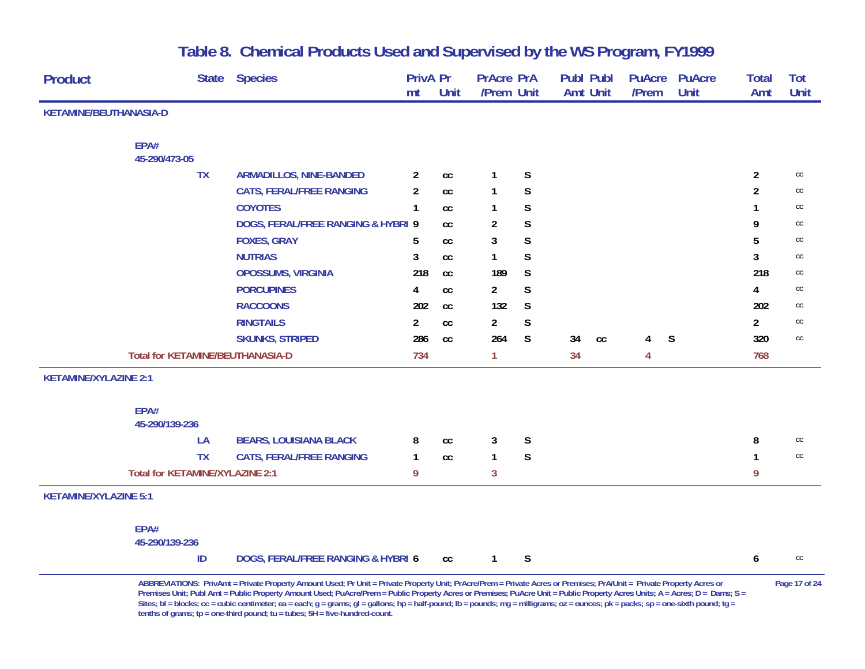| <b>Product</b>               | <b>State</b>                            | <b>Species</b>                     | <b>PrivA Pr</b> |                            | <b>PrAcre PrA</b> |             | <b>Publ Publ</b> | <b>PuAcre</b>  | <b>PuAcre</b> | <b>Total</b>   | Tot           |
|------------------------------|-----------------------------------------|------------------------------------|-----------------|----------------------------|-------------------|-------------|------------------|----------------|---------------|----------------|---------------|
|                              |                                         |                                    | mt              | Unit                       | /Prem Unit        |             | <b>Amt Unit</b>  | /Prem          | <b>Unit</b>   | Amt            | Unit          |
| KETAMINE/BEUTHANASIA-D       |                                         |                                    |                 |                            |                   |             |                  |                |               |                |               |
|                              |                                         |                                    |                 |                            |                   |             |                  |                |               |                |               |
|                              | EPA#                                    |                                    |                 |                            |                   |             |                  |                |               |                |               |
|                              | 45-290/473-05                           |                                    |                 |                            |                   |             |                  |                |               |                |               |
|                              | <b>TX</b>                               | <b>ARMADILLOS, NINE-BANDED</b>     | $\mathbf{2}$    | $\mathsf{cc}$              | 1                 | $\mathsf S$ |                  |                |               | $\overline{c}$ | cc            |
|                              |                                         | <b>CATS, FERAL/FREE RANGING</b>    | $\overline{2}$  | cc                         | 1                 | $\mathsf S$ |                  |                |               | $\overline{2}$ | cc            |
|                              |                                         | <b>COYOTES</b>                     | $\mathbf{1}$    | <b>CC</b>                  | 1                 | $\mathsf S$ |                  |                |               | 1              | cc            |
|                              |                                         | DOGS, FERAL/FREE RANGING & HYBRI 9 |                 | cc                         | $\overline{2}$    | S           |                  |                |               | 9              | cc            |
|                              |                                         | <b>FOXES, GRAY</b>                 | 5               | $\mathsf{cc}$              | 3                 | $\mathsf S$ |                  |                |               | 5              | cc            |
|                              |                                         | <b>NUTRIAS</b>                     | 3               | cc                         | $\mathbf{1}$      | S           |                  |                |               | 3              | cc            |
|                              |                                         | <b>OPOSSUMS, VIRGINIA</b>          | 218             | $\mathop{\rm cc}\nolimits$ | 189               | $\mathsf S$ |                  |                |               | 218            | cc            |
|                              |                                         | <b>PORCUPINES</b>                  | 4               | $\mathsf{cc}$              | $\overline{a}$    | S           |                  |                |               | 4              | cc            |
|                              |                                         | <b>RACCOONS</b>                    | 202             | cc                         | 132               | S           |                  |                |               | 202            | cc            |
|                              |                                         | <b>RINGTAILS</b>                   | $\mathbf{2}$    | $\mathsf{cc}$              | $\overline{a}$    | S           |                  |                |               | $\overline{a}$ | cc            |
|                              |                                         | <b>SKUNKS, STRIPED</b>             | 286             | cc                         | 264               | S           | 34<br>cc         | 4              | S             | 320            | $\mathsf{CC}$ |
|                              | <b>Total for KETAMINE/BEUTHANASIA-D</b> |                                    | 734             |                            | 1                 |             | 34               | $\overline{4}$ |               | 768            |               |
| <b>KETAMINE/XYLAZINE 2:1</b> |                                         |                                    |                 |                            |                   |             |                  |                |               |                |               |
|                              |                                         |                                    |                 |                            |                   |             |                  |                |               |                |               |
|                              | EPA#<br>45-290/139-236                  |                                    |                 |                            |                   |             |                  |                |               |                |               |
|                              | LA                                      | <b>BEARS, LOUISIANA BLACK</b>      | 8               | $\mathsf{cc}$              | 3                 | S           |                  |                |               | 8              | cc            |
|                              | <b>TX</b>                               | <b>CATS, FERAL/FREE RANGING</b>    | 1               | cc                         | 1                 | $\mathsf S$ |                  |                |               |                | $_{\rm CC}$   |
|                              | Total for KETAMINE/XYLAZINE 2:1         |                                    | 9               |                            | 3                 |             |                  |                |               | 9              |               |
| <b>KETAMINE/XYLAZINE 5:1</b> |                                         |                                    |                 |                            |                   |             |                  |                |               |                |               |
|                              | EPA#                                    |                                    |                 |                            |                   |             |                  |                |               |                |               |
|                              | 45-290/139-236                          |                                    |                 |                            |                   |             |                  |                |               |                |               |
|                              | ID                                      | DOGS, FERAL/FREE RANGING & HYBRI 6 |                 | cc                         | $\mathbf{1}$      | S           |                  |                |               | 6              | cc            |

**ABBREVIATIONS: PrivAmt = Private Property Amount Used; Pr Unit = Private Property Unit; PrAcre/Prem = Private Acres or Premises; PrA/Unit = Private Property Acres or Page 17 of 24 Premises Unit; Publ Amt = Public Property Amount Used; PuAcre/Prem = Public Property Acres or Premises; PuAcre Unit = Public Property Acres Units; A = Acres; D = Dams; S = Sites; bl = blocks; cc = cubic centimeter; ea = each; g = grams; gl = gallons; hp = half-pound; lb = pounds; mg = milligrams; oz = ounces; pk = packs; sp = one-sixth pound; tg = tenths of grams; tp = one-third pound; tu = tubes; 5H = five-hundred-count.**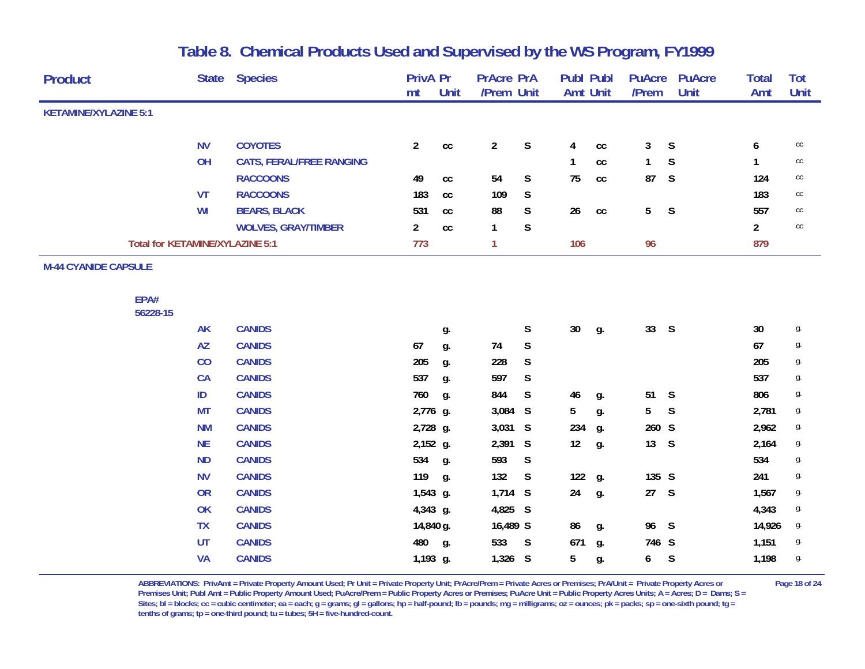| <b>Product</b>                  | <b>State</b> | <b>Species</b>                  | <b>PrivA Pr</b> |                            | <b>PrAcre PrA</b> |             | <b>Publ Publ</b> |               | <b>PuAcre</b>  | <b>PuAcre</b> | <b>Total</b>   | Tot           |
|---------------------------------|--------------|---------------------------------|-----------------|----------------------------|-------------------|-------------|------------------|---------------|----------------|---------------|----------------|---------------|
|                                 |              |                                 | mt              | Unit                       | /Prem Unit        |             | <b>Amt Unit</b>  |               | /Prem          | Unit          | Amt            | Unit          |
| <b>KETAMINE/XYLAZINE 5:1</b>    |              |                                 |                 |                            |                   |             |                  |               |                |               |                |               |
|                                 | <b>NV</b>    | <b>COYOTES</b>                  | $\overline{2}$  | $\mathop{\rm cc}\nolimits$ | $\overline{2}$    | $\mathsf S$ | 4                | $\mathsf{cc}$ | 3              | S             | 6              | cc            |
|                                 | OH           | <b>CATS, FERAL/FREE RANGING</b> |                 |                            |                   |             |                  | cc            | $\mathbf{1}$   | S             |                | $\mathsf{CC}$ |
|                                 |              | <b>RACCOONS</b>                 | 49              | $\mathsf{cc}$              | 54                | $\mathsf S$ | 75               | $\mathsf{cc}$ | 87             | S             | 124            | cc            |
|                                 | <b>VT</b>    | <b>RACCOONS</b>                 | 183             | cc                         | 109               | $\mathsf S$ |                  |               |                |               | 183            | $_{\rm CC}$   |
|                                 | WI           | <b>BEARS, BLACK</b>             | 531             | cc                         | 88                | $\mathsf S$ | 26               | $\mathsf{cc}$ | 5 <sub>5</sub> | S             | 557            | cc            |
|                                 |              | <b>WOLVES, GRAY/TIMBER</b>      | $\overline{2}$  | cc                         | 1                 | $\mathsf S$ |                  |               |                |               | $\overline{2}$ | $\mathsf{CC}$ |
| Total for KETAMINE/XYLAZINE 5:1 |              |                                 | 773             |                            | 1                 |             | 106              |               | 96             |               | 879            |               |
| <b>M-44 CYANIDE CAPSULE</b>     |              |                                 |                 |                            |                   |             |                  |               |                |               |                |               |
| EPA#<br>56228-15                |              |                                 |                 |                            |                   |             |                  |               |                |               |                |               |
|                                 | <b>AK</b>    | <b>CANIDS</b>                   |                 | g.                         |                   | S           | $30\,$           | g.            | 33 S           |               | 30             | g.            |
|                                 | <b>AZ</b>    | <b>CANIDS</b>                   | 67              | g.                         | 74                | $\mathsf S$ |                  |               |                |               | 67             | g.            |
|                                 | CO           | <b>CANIDS</b>                   | 205             | g.                         | 228               | S           |                  |               |                |               | 205            | g.            |
|                                 | <b>CA</b>    | <b>CANIDS</b>                   | 537             | g.                         | 597               | S           |                  |               |                |               | 537            | g.            |
|                                 | ID           | <b>CANIDS</b>                   | 760             | g.                         | 844               | S           | 46               | g.            | 51             | S             | 806            | g.            |
|                                 | <b>MT</b>    | <b>CANIDS</b>                   | 2,776 g.        |                            | 3,084 S           |             | 5                | g.            | 5 <sub>5</sub> | S             | 2,781          | g.            |
|                                 | <b>NM</b>    | <b>CANIDS</b>                   | 2,728 g.        |                            | 3,031 S           |             | 234              | g.            | 260 S          |               | 2,962          | g.            |
|                                 | <b>NE</b>    | <b>CANIDS</b>                   | 2,152 g.        |                            | 2,391 S           |             | 12               | g.            | 13 S           |               | 2,164          | g.            |
|                                 | <b>ND</b>    | <b>CANIDS</b>                   | 534             | g.                         | 593               | S           |                  |               |                |               | 534            | g.            |
|                                 | <b>NV</b>    | <b>CANIDS</b>                   | 119             | g.                         | 132               | S           | 122              | g.            | 135 S          |               | 241            | g.            |
|                                 | <b>OR</b>    | <b>CANIDS</b>                   | 1,543 g.        |                            | $1,714$ S         |             | 24               | g.            | 27 S           |               | 1,567          | g.            |
|                                 | OK           | <b>CANIDS</b>                   | 4,343 g.        |                            | 4,825 S           |             |                  |               |                |               | 4,343          | g.            |
|                                 | <b>TX</b>    | <b>CANIDS</b>                   | 14,840 g.       |                            | 16,489 S          |             | 86               | g.            | 96 S           |               | 14,926         | g.            |
|                                 | <b>UT</b>    | <b>CANIDS</b>                   | 480             | g.                         | 533               | S           | 671              | g.            | 746 S          |               | 1,151          | g.            |
|                                 | <b>VA</b>    | <b>CANIDS</b>                   | 1,193 g.        |                            | $1,326$ S         |             | 5                | g.            | 6              | S             | 1,198          | g.            |
|                                 |              |                                 |                 |                            |                   |             |                  |               |                |               |                |               |

ABBREVIATIONS: PrivAmt = Private Property Amount Used; Pr Unit = Private Property Unit; PrAcre/Prem = Private Acres or Premises; PrA/Unit = Private Property Acres or Page 18 of 24 Premises Unit; Publ Amt = Public Property Amount Used; PuAcre/Prem = Public Property Acres or Premises; PuAcre Unit = Public Property Acres Units; A = Acres; D = Dams; S = Sites; bl = blocks; cc = cubic centimeter; ea = each; g = grams; gl = gallons; hp = half-pound; lb = pounds; mg = milligrams; oz = ounces; pk = packs; sp = one-sixth pound; tg = **tenths of grams; tp = one-third pound; tu = tubes; 5H = five-hundred-count.**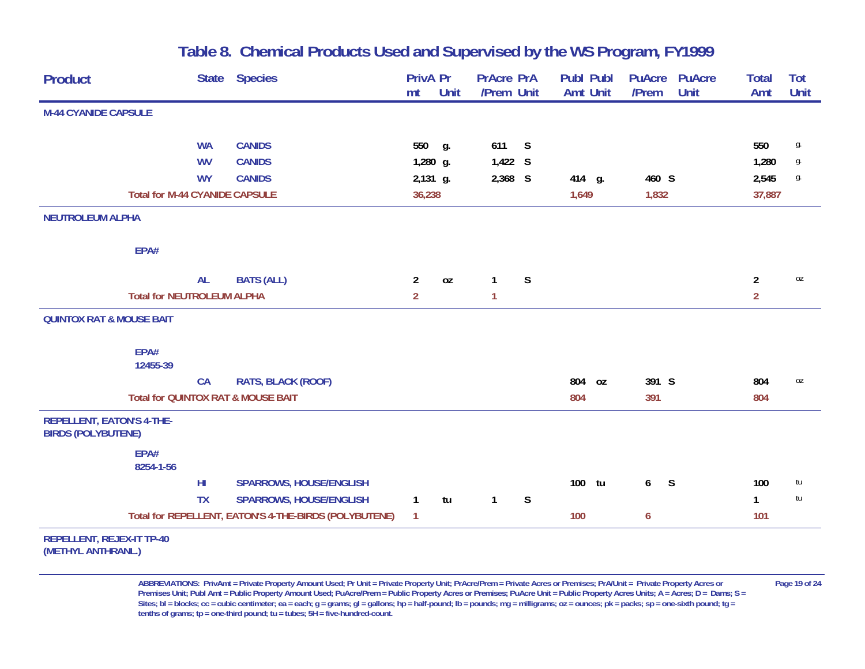| <b>Product</b>                                         | <b>State</b>                          | <b>Species</b>                                        | <b>PrivA Pr</b> |      | <b>PrAcre PrA</b> |             | <b>Publ Publ</b> | <b>PuAcre</b> | <b>PuAcre</b> | <b>Total</b>   | <b>Tot</b>  |
|--------------------------------------------------------|---------------------------------------|-------------------------------------------------------|-----------------|------|-------------------|-------------|------------------|---------------|---------------|----------------|-------------|
|                                                        |                                       |                                                       | mt              | Unit | /Prem Unit        |             | <b>Amt Unit</b>  | /Prem         | Unit          | Amt            | <b>Unit</b> |
| <b>M-44 CYANIDE CAPSULE</b>                            |                                       |                                                       |                 |      |                   |             |                  |               |               |                |             |
|                                                        | <b>WA</b>                             | <b>CANIDS</b>                                         | 550 g.          |      | 611               | S           |                  |               |               | 550            | g.          |
|                                                        | <b>WV</b>                             | <b>CANIDS</b>                                         | 1,280 g.        |      | 1,422 S           |             |                  |               |               | 1,280          | g.          |
|                                                        | <b>WY</b>                             | <b>CANIDS</b>                                         | 2,131 g.        |      | 2,368 S           |             | 414 g.           | 460 S         |               | 2,545          | g.          |
|                                                        | <b>Total for M-44 CYANIDE CAPSULE</b> |                                                       | 36,238          |      |                   |             | 1,649            | 1,832         |               | 37,887         |             |
| <b>NEUTROLEUM ALPHA</b>                                |                                       |                                                       |                 |      |                   |             |                  |               |               |                |             |
| EPA#                                                   |                                       |                                                       |                 |      |                   |             |                  |               |               |                |             |
|                                                        | <b>AL</b>                             | <b>BATS (ALL)</b>                                     | $\overline{2}$  | 0Z   | $\mathbf{1}$      | S           |                  |               |               | $\overline{2}$ | 0Z          |
|                                                        | <b>Total for NEUTROLEUM ALPHA</b>     |                                                       | $\overline{2}$  |      | 1                 |             |                  |               |               | $\overline{2}$ |             |
| <b>QUINTOX RAT &amp; MOUSE BAIT</b>                    |                                       |                                                       |                 |      |                   |             |                  |               |               |                |             |
| EPA#                                                   |                                       |                                                       |                 |      |                   |             |                  |               |               |                |             |
| 12455-39                                               |                                       |                                                       |                 |      |                   |             |                  |               |               |                |             |
|                                                        | <b>CA</b>                             | <b>RATS, BLACK (ROOF)</b>                             |                 |      |                   |             | 804<br>0Z        | 391 S         |               | 804            | 0Z          |
|                                                        |                                       | Total for QUINTOX RAT & MOUSE BAIT                    |                 |      |                   |             | 804              | 391           |               | 804            |             |
| REPELLENT, EATON'S 4-THE-<br><b>BIRDS (POLYBUTENE)</b> |                                       |                                                       |                 |      |                   |             |                  |               |               |                |             |
| EPA#<br>8254-1-56                                      |                                       |                                                       |                 |      |                   |             |                  |               |               |                |             |
|                                                        | H <sub>II</sub>                       | <b>SPARROWS, HOUSE/ENGLISH</b>                        |                 |      |                   |             | 100 tu           | 6             | S             | 100            | tu          |
|                                                        | <b>TX</b>                             | <b>SPARROWS, HOUSE/ENGLISH</b>                        | $\mathbf{1}$    | tu   | $\mathbf{1}$      | $\mathsf S$ |                  |               |               | $\mathbf{1}$   | tu          |
|                                                        |                                       | Total for REPELLENT, EATON'S 4-THE-BIRDS (POLYBUTENE) | $\mathbf{1}$    |      |                   |             | 100              | 6             |               | 101            |             |
| <b>REPELLENT, REJEX-IT TP-40</b>                       |                                       |                                                       |                 |      |                   |             |                  |               |               |                |             |
| (METHYL ANTHRANL.)                                     |                                       |                                                       |                 |      |                   |             |                  |               |               |                |             |

**ABBREVIATIONS: PrivAmt = Private Property Amount Used; Pr Unit = Private Property Unit; PrAcre/Prem = Private Acres or Premises; PrA/Unit = Private Property Acres or Page 19 of 24 Premises Unit; Publ Amt = Public Property Amount Used; PuAcre/Prem = Public Property Acres or Premises; PuAcre Unit = Public Property Acres Units; A = Acres; D = Dams; S = Sites; bl = blocks; cc = cubic centimeter; ea = each; g = grams; gl = gallons; hp = half-pound; lb = pounds; mg = milligrams; oz = ounces; pk = packs; sp = one-sixth pound; tg = tenths of grams; tp = one-third pound; tu = tubes; 5H = five-hundred-count.**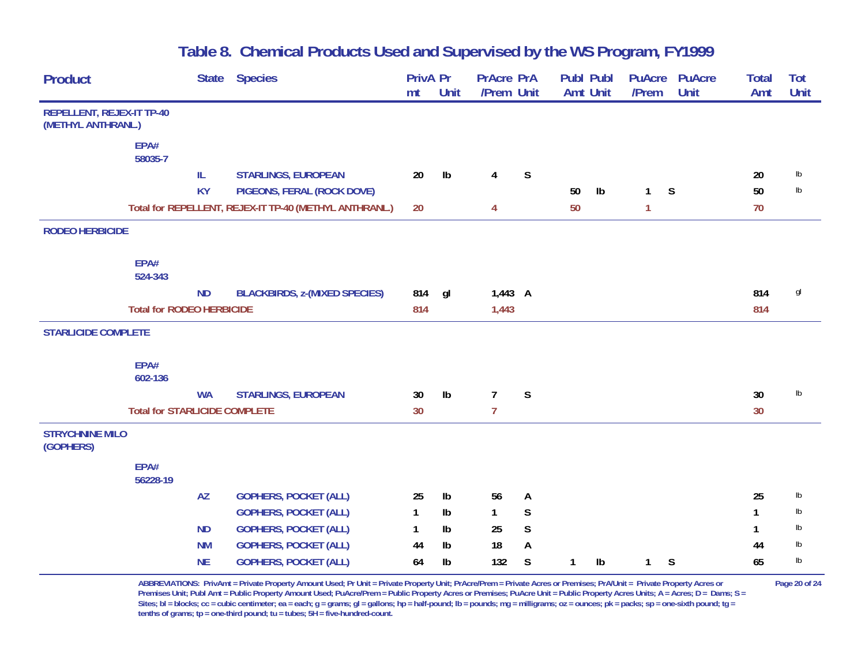| Product                                                |                                      | <b>State</b><br><b>Species</b>                         | PrivA Pr<br>mt | Unit          | <b>PrAcre PrA</b><br>/Prem Unit |              | Publ Publ | Amt Unit      | <b>PuAcre</b><br>/Prem | <b>PuAcre</b><br>Unit | <b>Total</b><br>Amt | Tot<br>Unit   |
|--------------------------------------------------------|--------------------------------------|--------------------------------------------------------|----------------|---------------|---------------------------------|--------------|-----------|---------------|------------------------|-----------------------|---------------------|---------------|
| <b>REPELLENT, REJEX-IT TP-40</b><br>(METHYL ANTHRANL.) |                                      |                                                        |                |               |                                 |              |           |               |                        |                       |                     |               |
|                                                        |                                      |                                                        |                |               |                                 |              |           |               |                        |                       |                     |               |
|                                                        | EPA#<br>58035-7                      |                                                        |                |               |                                 |              |           |               |                        |                       |                     |               |
|                                                        | $\ensuremath{\mathsf{IL}}\xspace$    | <b>STARLINGS, EUROPEAN</b>                             | 20             | Ib            | $\overline{4}$                  | S            |           |               |                        |                       | 20                  | $\mathsf{lb}$ |
|                                                        | <b>KY</b>                            | PIGEONS, FERAL (ROCK DOVE)                             |                |               |                                 |              | 50        | $\mathsf{lb}$ | $\mathbf{1}$           | S                     | 50                  | lb            |
|                                                        |                                      | Total for REPELLENT, REJEX-IT TP-40 (METHYL ANTHRANL.) | 20             |               | 4                               |              | 50        |               | $\mathbf{1}$           |                       | 70                  |               |
| <b>RODEO HERBICIDE</b>                                 |                                      |                                                        |                |               |                                 |              |           |               |                        |                       |                     |               |
|                                                        | EPA#<br>524-343                      |                                                        |                |               |                                 |              |           |               |                        |                       |                     |               |
|                                                        | <b>ND</b>                            | <b>BLACKBIRDS, z-(MIXED SPECIES)</b>                   | 814            | gl            | $1,443$ A                       |              |           |               |                        |                       | 814                 | gl            |
|                                                        | <b>Total for RODEO HERBICIDE</b>     |                                                        | 814            |               | 1,443                           |              |           |               |                        |                       | 814                 |               |
| <b>STARLICIDE COMPLETE</b>                             |                                      |                                                        |                |               |                                 |              |           |               |                        |                       |                     |               |
|                                                        | EPA#<br>602-136                      |                                                        |                |               |                                 |              |           |               |                        |                       |                     |               |
|                                                        | <b>WA</b>                            | <b>STARLINGS, EUROPEAN</b>                             | 30             | $\mathsf{lb}$ | $\overline{7}$                  | $\mathsf{S}$ |           |               |                        |                       | 30                  | $\mathsf{lb}$ |
|                                                        | <b>Total for STARLICIDE COMPLETE</b> |                                                        | 30             |               | $\overline{7}$                  |              |           |               |                        |                       | 30                  |               |
| <b>STRYCHNINE MILO</b><br>(GOPHERS)                    |                                      |                                                        |                |               |                                 |              |           |               |                        |                       |                     |               |
|                                                        | EPA#<br>56228-19                     |                                                        |                |               |                                 |              |           |               |                        |                       |                     |               |
|                                                        | <b>AZ</b>                            | <b>GOPHERS, POCKET (ALL)</b>                           | 25             | Ib            | 56                              | A            |           |               |                        |                       | 25                  | lb            |
|                                                        |                                      | <b>GOPHERS, POCKET (ALL)</b>                           | $\mathbf{1}$   | Ib            | 1                               | S            |           |               |                        |                       | 1                   | lb            |
|                                                        | <b>ND</b>                            | <b>GOPHERS, POCKET (ALL)</b>                           | $\mathbf{1}$   | Ib            | 25                              | $\mathsf S$  |           |               |                        |                       | 1                   | $\mathsf{lb}$ |
|                                                        | <b>NM</b>                            | <b>GOPHERS, POCKET (ALL)</b>                           | 44             | Ib            | 18                              | A            |           |               |                        |                       | 44                  | Ib            |
|                                                        | <b>NE</b>                            | <b>GOPHERS, POCKET (ALL)</b>                           | 64             | Ib            | 132                             | S            | 1         | Ib            | 1                      | S                     | 65                  | lb            |

**ABBREVIATIONS: PrivAmt = Private Property Amount Used; Pr Unit = Private Property Unit; PrAcre/Prem = Private Acres or Premises; PrA/Unit = Private Property Acres or Page 20 of 24 Premises Unit; Publ Amt = Public Property Amount Used; PuAcre/Prem = Public Property Acres or Premises; PuAcre Unit = Public Property Acres Units; A = Acres; D = Dams; S =**  Sites; bl = blocks; cc = cubic centimeter; ea = each; g = grams; gl = gallons; hp = half-pound; lb = pounds; mg = milligrams; oz = ounces; pk = packs; sp = one-sixth pound; tg = **tenths of grams; tp = one-third pound; tu = tubes; 5H = five-hundred-count.**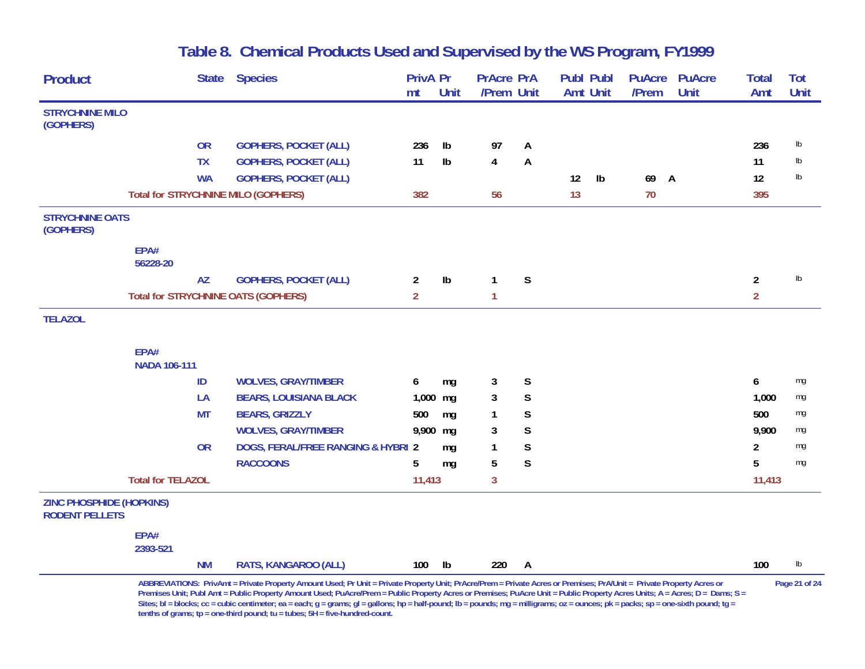| <b>Product</b>                                           |                          |           | State Species                              | <b>PrivA Pr</b><br>mt | Unit | <b>PrAcre PrA</b><br>/Prem Unit |                | <b>Publ Publ</b><br><b>Amt Unit</b> | <b>PuAcre</b><br>/Prem | <b>PuAcre</b><br>Unit | <b>Total</b><br>Amt | Tot<br>Unit   |
|----------------------------------------------------------|--------------------------|-----------|--------------------------------------------|-----------------------|------|---------------------------------|----------------|-------------------------------------|------------------------|-----------------------|---------------------|---------------|
| <b>STRYCHNINE MILO</b>                                   |                          |           |                                            |                       |      |                                 |                |                                     |                        |                       |                     |               |
| (GOPHERS)                                                |                          |           |                                            |                       |      |                                 |                |                                     |                        |                       |                     |               |
|                                                          |                          | <b>OR</b> | <b>GOPHERS, POCKET (ALL)</b>               | 236                   | Ib   | 97                              | A              |                                     |                        |                       | 236                 | $\mathsf{lb}$ |
|                                                          |                          | <b>TX</b> | <b>GOPHERS, POCKET (ALL)</b>               | 11                    | Ib   | 4                               | A              |                                     |                        |                       | 11                  | $\mathsf{lb}$ |
|                                                          |                          | <b>WA</b> | <b>GOPHERS, POCKET (ALL)</b>               |                       |      |                                 |                | $\mathsf{lb}$<br>12                 | 69 A                   |                       | 12                  | $\mathsf{lb}$ |
|                                                          |                          |           | <b>Total for STRYCHNINE MILO (GOPHERS)</b> | 382                   |      | 56                              |                | 13                                  | 70                     |                       | 395                 |               |
| <b>STRYCHNINE OATS</b><br>(GOPHERS)                      |                          |           |                                            |                       |      |                                 |                |                                     |                        |                       |                     |               |
|                                                          | EPA#<br>56228-20         |           |                                            |                       |      |                                 |                |                                     |                        |                       |                     |               |
|                                                          |                          | <b>AZ</b> | <b>GOPHERS, POCKET (ALL)</b>               | $\overline{2}$        | Ib   | $\mathbf{1}$                    | S              |                                     |                        |                       | $\overline{a}$      | $\mathsf{lb}$ |
|                                                          |                          |           | <b>Total for STRYCHNINE OATS (GOPHERS)</b> | 2 <sup>1</sup>        |      | $\mathbf{1}$                    |                |                                     |                        |                       | $\overline{2}$      |               |
| <b>TELAZOL</b>                                           |                          |           |                                            |                       |      |                                 |                |                                     |                        |                       |                     |               |
|                                                          | EPA#<br>NADA 106-111     |           |                                            |                       |      |                                 |                |                                     |                        |                       |                     |               |
|                                                          |                          | ID        | <b>WOLVES, GRAY/TIMBER</b>                 | 6                     | mg   | 3                               | S              |                                     |                        |                       | 6                   | mg            |
|                                                          |                          | LA        | <b>BEARS, LOUISIANA BLACK</b>              | $1,000$ mg            |      | $\mathbf{3}$                    | $\mathsf S$    |                                     |                        |                       | 1,000               | mg            |
|                                                          |                          | <b>MT</b> | <b>BEARS, GRIZZLY</b>                      | 500                   | mg   | 1                               | S              |                                     |                        |                       | 500                 | mg            |
|                                                          |                          |           | <b>WOLVES, GRAY/TIMBER</b>                 | 9,900 mg              |      | 3                               | $\mathsf S$    |                                     |                        |                       | 9,900               | mg            |
|                                                          |                          | <b>OR</b> | DOGS, FERAL/FREE RANGING & HYBRI 2         |                       | mg   | 1                               | $\mathsf S$    |                                     |                        |                       | 2                   | mg            |
|                                                          |                          |           | <b>RACCOONS</b>                            | 5                     | mg   | 5                               | $\mathsf S$    |                                     |                        |                       | 5                   | mg            |
|                                                          | <b>Total for TELAZOL</b> |           |                                            | 11,413                |      | $\mathbf{3}$                    |                |                                     |                        |                       | 11,413              |               |
| <b>ZINC PHOSPHIDE (HOPKINS)</b><br><b>RODENT PELLETS</b> |                          |           |                                            |                       |      |                                 |                |                                     |                        |                       |                     |               |
|                                                          | EPA#<br>2393-521         |           |                                            |                       |      |                                 |                |                                     |                        |                       |                     |               |
|                                                          |                          | <b>NM</b> | RATS, KANGAROO (ALL)                       | 100                   | Ib   | 220                             | $\overline{A}$ |                                     |                        |                       | 100                 | lb            |

**ABBREVIATIONS: PrivAmt = Private Property Amount Used; Pr Unit = Private Property Unit; PrAcre/Prem = Private Acres or Premises; PrA/Unit = Private Property Acres or Page 21 of 24 Premises Unit; Publ Amt = Public Property Amount Used; PuAcre/Prem = Public Property Acres or Premises; PuAcre Unit = Public Property Acres Units; A = Acres; D = Dams; S =**  Sites; bl = blocks; cc = cubic centimeter; ea = each; g = grams; gl = gallons; hp = half-pound; lb = pounds; mg = milligrams; oz = ounces; pk = packs; sp = one-sixth pound; tg = **tenths of grams; tp = one-third pound; tu = tubes; 5H = five-hundred-count.**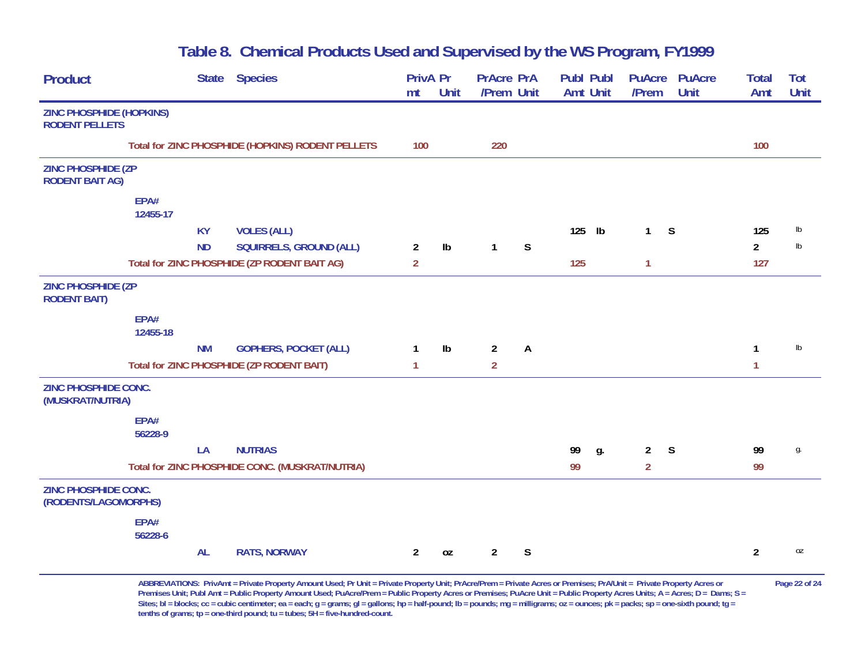| <b>Product</b>                                           |                  |           | State Species                                     | PrivA Pr<br>mt | <b>Unit</b>   | <b>PrAcre PrA</b><br>/Prem Unit |              | Publ Publ<br><b>Amt Unit</b> |               | <b>PuAcre</b><br>/Prem | <b>PuAcre</b><br>Unit | <b>Total</b><br>Amt | Tot<br><b>Unit</b> |
|----------------------------------------------------------|------------------|-----------|---------------------------------------------------|----------------|---------------|---------------------------------|--------------|------------------------------|---------------|------------------------|-----------------------|---------------------|--------------------|
| <b>ZINC PHOSPHIDE (HOPKINS)</b><br><b>RODENT PELLETS</b> |                  |           |                                                   |                |               |                                 |              |                              |               |                        |                       |                     |                    |
|                                                          |                  |           | Total for ZINC PHOSPHIDE (HOPKINS) RODENT PELLETS | 100            |               | 220                             |              |                              |               |                        |                       | 100                 |                    |
| <b>ZINC PHOSPHIDE (ZP</b><br><b>RODENT BAIT AG)</b>      |                  |           |                                                   |                |               |                                 |              |                              |               |                        |                       |                     |                    |
|                                                          | EPA#<br>12455-17 |           |                                                   |                |               |                                 |              |                              |               |                        |                       |                     |                    |
|                                                          |                  | <b>KY</b> | <b>VOLES (ALL)</b>                                |                |               |                                 |              | 125                          | $\mathsf{lb}$ | $1 -$                  | S                     | 125                 | lb                 |
|                                                          |                  | <b>ND</b> | SQUIRRELS, GROUND (ALL)                           | $\overline{a}$ | $\mathsf{lb}$ | $\mathbf{1}$                    | S            |                              |               |                        |                       | $\overline{2}$      | $\mathsf{lb}$      |
|                                                          |                  |           | Total for ZINC PHOSPHIDE (ZP RODENT BAIT AG)      | $\overline{2}$ |               |                                 |              | 125                          |               | $\mathbf{1}$           |                       | 127                 |                    |
| <b>ZINC PHOSPHIDE (ZP</b><br><b>RODENT BAIT)</b>         |                  |           |                                                   |                |               |                                 |              |                              |               |                        |                       |                     |                    |
|                                                          | EPA#<br>12455-18 |           |                                                   |                |               |                                 |              |                              |               |                        |                       |                     |                    |
|                                                          |                  | <b>NM</b> | <b>GOPHERS, POCKET (ALL)</b>                      | 1              | $\mathsf{lb}$ | $\overline{2}$                  | $\mathsf{A}$ |                              |               |                        |                       | 1                   | $\mathsf{lb}$      |
|                                                          |                  |           | Total for ZINC PHOSPHIDE (ZP RODENT BAIT)         | $\mathbf{1}$   |               | $\overline{2}$                  |              |                              |               |                        |                       | $\mathbf{1}$        |                    |
| <b>ZINC PHOSPHIDE CONC.</b><br>(MUSKRAT/NUTRIA)          |                  |           |                                                   |                |               |                                 |              |                              |               |                        |                       |                     |                    |
|                                                          | EPA#<br>56228-9  |           |                                                   |                |               |                                 |              |                              |               |                        |                       |                     |                    |
|                                                          |                  | LA        | <b>NUTRIAS</b>                                    |                |               |                                 |              | 99                           | g.            | $2^{\circ}$            | S                     | 99                  | g.                 |
|                                                          |                  |           | Total for ZINC PHOSPHIDE CONC. (MUSKRAT/NUTRIA)   |                |               |                                 |              | 99                           |               | $\overline{2}$         |                       | 99                  |                    |
| <b>ZINC PHOSPHIDE CONC.</b><br>(RODENTS/LAGOMORPHS)      |                  |           |                                                   |                |               |                                 |              |                              |               |                        |                       |                     |                    |
|                                                          | EPA#<br>56228-6  |           |                                                   |                |               |                                 |              |                              |               |                        |                       |                     |                    |
|                                                          |                  | <b>AL</b> | <b>RATS, NORWAY</b>                               | $\overline{2}$ | 0Z            | $\overline{2}$                  | S            |                              |               |                        |                       | $\overline{2}$      | 0Z                 |

**ABBREVIATIONS: PrivAmt = Private Property Amount Used; Pr Unit = Private Property Unit; PrAcre/Prem = Private Acres or Premises; PrA/Unit = Private Property Acres or Page 22 of 24** Premises Unit; Publ Amt = Public Property Amount Used; PuAcre/Prem = Public Property Acres or Premises; PuAcre Unit = Public Property Acres Units; A = Acres; D = Dams; S = Sites; bl = blocks; cc = cubic centimeter; ea = each; g = grams; gl = gallons; hp = half-pound; lb = pounds; mg = milligrams; oz = ounces; pk = packs; sp = one-sixth pound; tg = **tenths of grams; tp = one-third pound; tu = tubes; 5H = five-hundred-count.**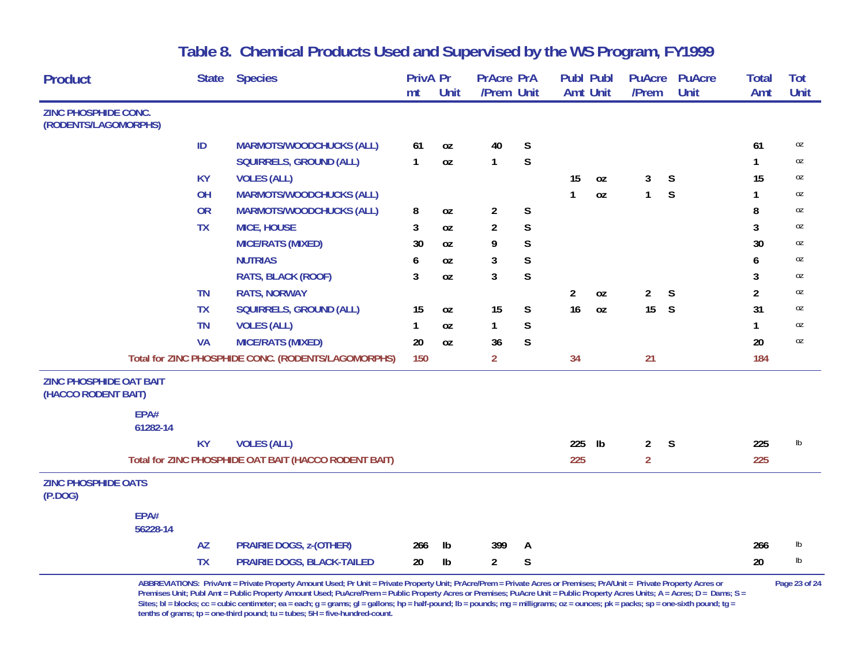| <b>Product</b>                                        |                  | <b>State</b> | <b>Species</b>                                        | <b>PrivA Pr</b> |               | <b>PrAcre PrA</b> |              | <b>Publ Publ</b> |              | <b>PuAcre</b>  | <b>PuAcre</b> | <b>Total</b> | Tot           |
|-------------------------------------------------------|------------------|--------------|-------------------------------------------------------|-----------------|---------------|-------------------|--------------|------------------|--------------|----------------|---------------|--------------|---------------|
|                                                       |                  |              |                                                       | mt              | Unit          | /Prem Unit        |              | <b>Amt Unit</b>  |              | /Prem          | Unit          | Amt          | Unit          |
| ZINC PHOSPHIDE CONC.<br>(RODENTS/LAGOMORPHS)          |                  |              |                                                       |                 |               |                   |              |                  |              |                |               |              |               |
|                                                       |                  | ID           | <b>MARMOTS/WOODCHUCKS (ALL)</b>                       | 61              | 0Z            | 40                | S            |                  |              |                |               | 61           | 0Z            |
|                                                       |                  |              | SQUIRRELS, GROUND (ALL)                               | $\mathbf{1}$    | 0Z            | $\mathbf{1}$      | $\mathsf{S}$ |                  |              |                |               | 1            | 0Z            |
|                                                       |                  | <b>KY</b>    | <b>VOLES (ALL)</b>                                    |                 |               |                   |              | 15               | 0Z           | 3              | S             | 15           | 0Z            |
|                                                       |                  | OH           | <b>MARMOTS/WOODCHUCKS (ALL)</b>                       |                 |               |                   |              | 1                | 0Z           | $\mathbf{1}$   | S             | 1            | 0Z            |
|                                                       |                  | <b>OR</b>    | <b>MARMOTS/WOODCHUCKS (ALL)</b>                       | 8               | 0Z            | $\overline{2}$    | $\mathsf S$  |                  |              |                |               | 8            | 0Z            |
|                                                       |                  | <b>TX</b>    | <b>MICE, HOUSE</b>                                    | 3               | 0Z            | 2                 | $\mathsf S$  |                  |              |                |               | 3            | 0Z            |
|                                                       |                  |              | <b>MICE/RATS (MIXED)</b>                              | 30              | 0Z            | 9                 | $\mathsf S$  |                  |              |                |               | 30           | 0Z            |
|                                                       |                  |              | <b>NUTRIAS</b>                                        | 6               | <b>OZ</b>     | 3                 | $\mathsf S$  |                  |              |                |               | 6            | 0Z            |
|                                                       |                  |              | <b>RATS, BLACK (ROOF)</b>                             | 3               | 0Z            | 3                 | S            |                  |              |                |               | 3            | 0Z            |
|                                                       |                  | <b>TN</b>    | <b>RATS, NORWAY</b>                                   |                 |               |                   |              | 2                | 0Z           | $\overline{2}$ | S             | 2            | 0Z            |
|                                                       |                  | <b>TX</b>    | SQUIRRELS, GROUND (ALL)                               | 15              | 0Z            | 15                | S            | 16               | 0Z           | 15             | S             | 31           | 0Z            |
|                                                       |                  | <b>TN</b>    | <b>VOLES (ALL)</b>                                    | 1               | 0Z            | $\mathbf{1}$      | S            |                  |              |                |               | $\mathbf{1}$ | 0Z            |
|                                                       |                  | <b>VA</b>    | <b>MICE/RATS (MIXED)</b>                              | 20              | <b>OZ</b>     | 36                | S            |                  |              |                |               | 20           | 0Z            |
|                                                       |                  |              | Total for ZINC PHOSPHIDE CONC. (RODENTS/LAGOMORPHS)   | 150             |               | $\overline{2}$    |              | 34               |              | 21             |               | 184          |               |
| <b>ZINC PHOSPHIDE OAT BAIT</b><br>(HACCO RODENT BAIT) |                  |              |                                                       |                 |               |                   |              |                  |              |                |               |              |               |
|                                                       | EPA#<br>61282-14 |              |                                                       |                 |               |                   |              |                  |              |                |               |              |               |
|                                                       |                  | <b>KY</b>    | <b>VOLES (ALL)</b>                                    |                 |               |                   |              | 225              | $\mathsf{I}$ | $\overline{2}$ | S             | 225          | $\mathsf{lb}$ |
|                                                       |                  |              | Total for ZINC PHOSPHIDE OAT BAIT (HACCO RODENT BAIT) |                 |               |                   |              | 225              |              | $\overline{2}$ |               | 225          |               |
| <b>ZINC PHOSPHIDE OATS</b><br>(P.DOG)                 |                  |              |                                                       |                 |               |                   |              |                  |              |                |               |              |               |
|                                                       | EPA#<br>56228-14 |              |                                                       |                 |               |                   |              |                  |              |                |               |              |               |
|                                                       |                  | <b>AZ</b>    | <b>PRAIRIE DOGS, z-(OTHER)</b>                        | 266             | $\mathsf{lb}$ | 399               | A            |                  |              |                |               | 266          | lb            |
|                                                       |                  | <b>TX</b>    | PRAIRIE DOGS, BLACK-TAILED                            | 20              | $\mathsf{lb}$ | $\overline{2}$    | S            |                  |              |                |               | 20           | lb            |

ABBREVIATIONS: PrivAmt = Private Property Amount Used; Pr Unit = Private Property Unit; PrAcre/Prem = Private Acres or Premises; PrA/Unit = Private Property Acres or Page 23 of 24 Premises Unit; Publ Amt = Public Property Amount Used; PuAcre/Prem = Public Property Acres or Premises; PuAcre Unit = Public Property Acres Units; A = Acres; D = Dams; S = Sites; bl = blocks; cc = cubic centimeter; ea = each; g = grams; gl = gallons; hp = half-pound; lb = pounds; mg = milligrams; oz = ounces; pk = packs; sp = one-sixth pound; tg = **tenths of grams; tp = one-third pound; tu = tubes; 5H = five-hundred-count.**